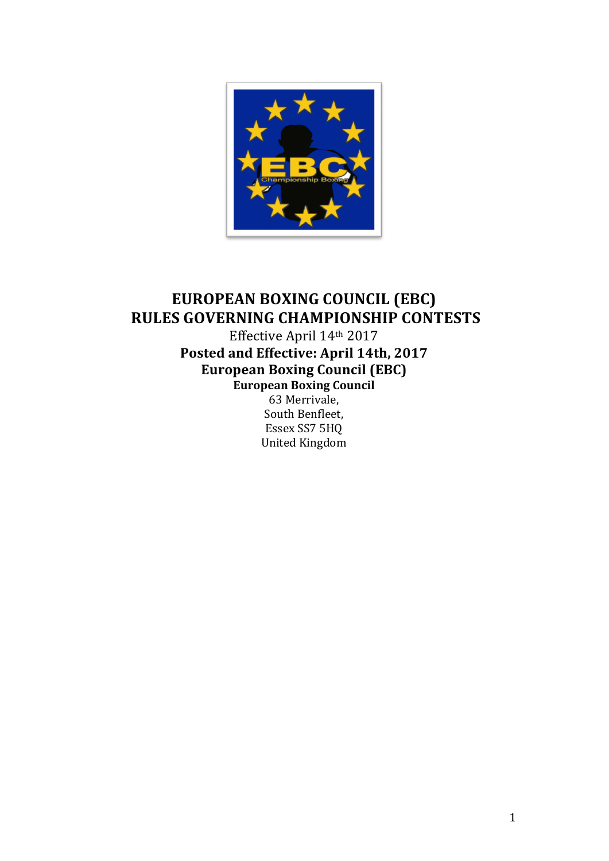

# **EUROPEAN BOXING COUNCIL (EBC) RULES GOVERNING CHAMPIONSHIP CONTESTS**

Effective April 14th 2017 Posted and Effective: April 14th, 2017 European Boxing Council (EBC) **European Boxing Council**

63 Merrivale, South Benfleet, Essex SS7 5HQ United Kingdom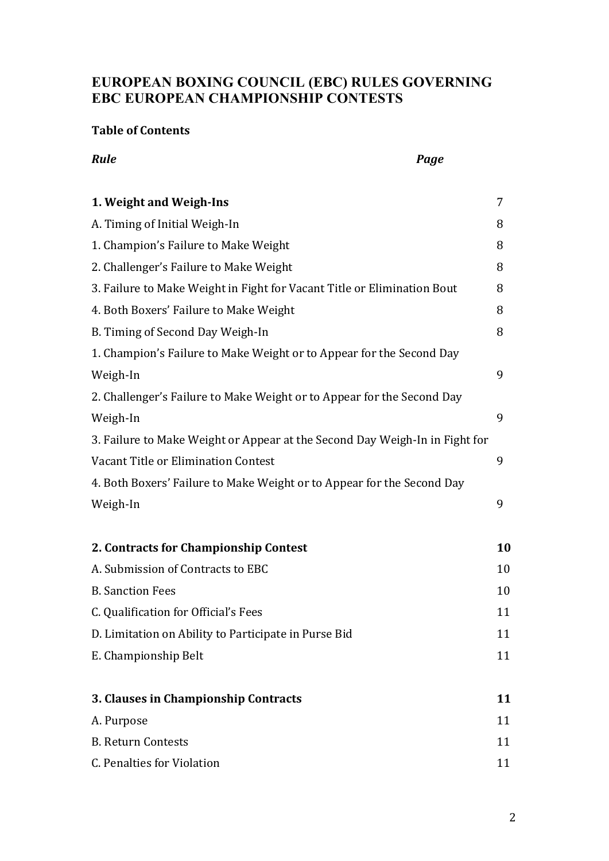# **EUROPEAN BOXING COUNCIL (EBC) RULES GOVERNING EBC EUROPEAN CHAMPIONSHIP CONTESTS**

*Rule Cage Cage* **<b>***Cage Cage Cage Cage Cage Cage Cage Cage Cage Cage Cage* 

#### **Table of Contents**

| 1. Weight and Weigh-Ins                                                     | 7  |
|-----------------------------------------------------------------------------|----|
| A. Timing of Initial Weigh-In                                               | 8  |
| 1. Champion's Failure to Make Weight                                        | 8  |
| 2. Challenger's Failure to Make Weight                                      | 8  |
| 3. Failure to Make Weight in Fight for Vacant Title or Elimination Bout     | 8  |
| 4. Both Boxers' Failure to Make Weight                                      | 8  |
| B. Timing of Second Day Weigh-In                                            | 8  |
| 1. Champion's Failure to Make Weight or to Appear for the Second Day        |    |
| Weigh-In                                                                    | 9  |
| 2. Challenger's Failure to Make Weight or to Appear for the Second Day      |    |
| Weigh-In                                                                    | 9  |
| 3. Failure to Make Weight or Appear at the Second Day Weigh-In in Fight for |    |
| Vacant Title or Elimination Contest                                         | 9  |
| 4. Both Boxers' Failure to Make Weight or to Appear for the Second Day      |    |
| Weigh-In                                                                    | 9  |
| 2. Contracts for Championship Contest                                       | 10 |
| A. Submission of Contracts to EBC                                           | 10 |
| <b>B.</b> Sanction Fees                                                     | 10 |
| C. Qualification for Official's Fees                                        | 11 |
| D. Limitation on Ability to Participate in Purse Bid                        | 11 |
| E. Championship Belt                                                        | 11 |
| 3. Clauses in Championship Contracts                                        | 11 |
| A. Purpose                                                                  | 11 |
| <b>B. Return Contests</b>                                                   | 11 |
| C. Penalties for Violation                                                  | 11 |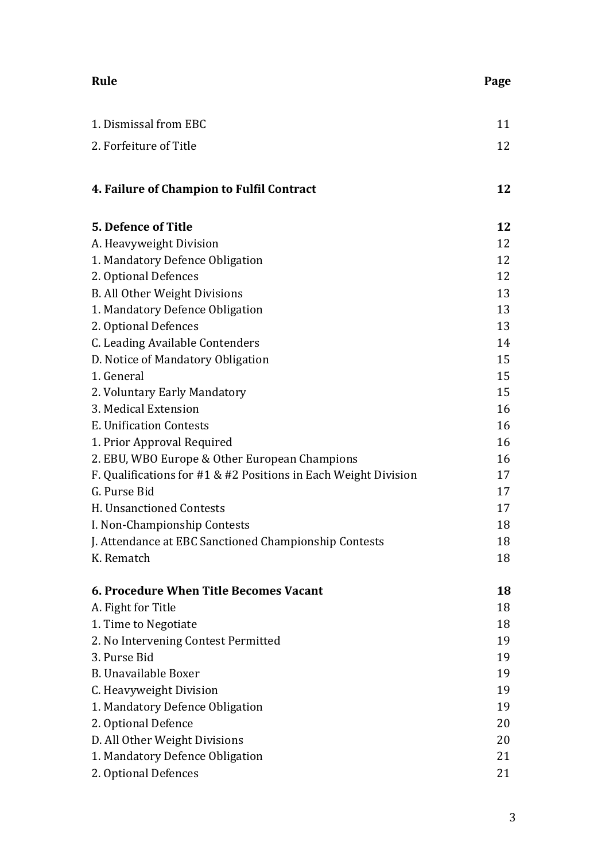| Rule                                                               | Page |
|--------------------------------------------------------------------|------|
| 1. Dismissal from EBC                                              | 11   |
| 2. Forfeiture of Title                                             | 12   |
|                                                                    |      |
| 4. Failure of Champion to Fulfil Contract                          | 12   |
| <b>5. Defence of Title</b>                                         | 12   |
| A. Heavyweight Division                                            | 12   |
| 1. Mandatory Defence Obligation                                    | 12   |
| 2. Optional Defences                                               | 12   |
| <b>B. All Other Weight Divisions</b>                               | 13   |
| 1. Mandatory Defence Obligation                                    | 13   |
| 2. Optional Defences                                               | 13   |
| C. Leading Available Contenders                                    | 14   |
| D. Notice of Mandatory Obligation                                  | 15   |
| 1. General                                                         | 15   |
| 2. Voluntary Early Mandatory                                       | 15   |
| 3. Medical Extension                                               | 16   |
| E. Unification Contests                                            | 16   |
| 1. Prior Approval Required                                         | 16   |
| 2. EBU, WBO Europe & Other European Champions                      | 16   |
| F. Qualifications for $#1 \& #2$ Positions in Each Weight Division | 17   |
| G. Purse Bid                                                       | 17   |
| H. Unsanctioned Contests                                           | 17   |
| I. Non-Championship Contests                                       | 18   |
| J. Attendance at EBC Sanctioned Championship Contests              | 18   |
| K. Rematch                                                         | 18   |
| 6. Procedure When Title Becomes Vacant                             | 18   |
| A. Fight for Title                                                 | 18   |
| 1. Time to Negotiate                                               | 18   |
| 2. No Intervening Contest Permitted                                | 19   |
| 3. Purse Bid                                                       | 19   |
| <b>B.</b> Unavailable Boxer                                        | 19   |
| C. Heavyweight Division                                            | 19   |
| 1. Mandatory Defence Obligation                                    | 19   |
| 2. Optional Defence                                                | 20   |
| D. All Other Weight Divisions                                      | 20   |
| 1. Mandatory Defence Obligation                                    | 21   |
| 2. Optional Defences                                               | 21   |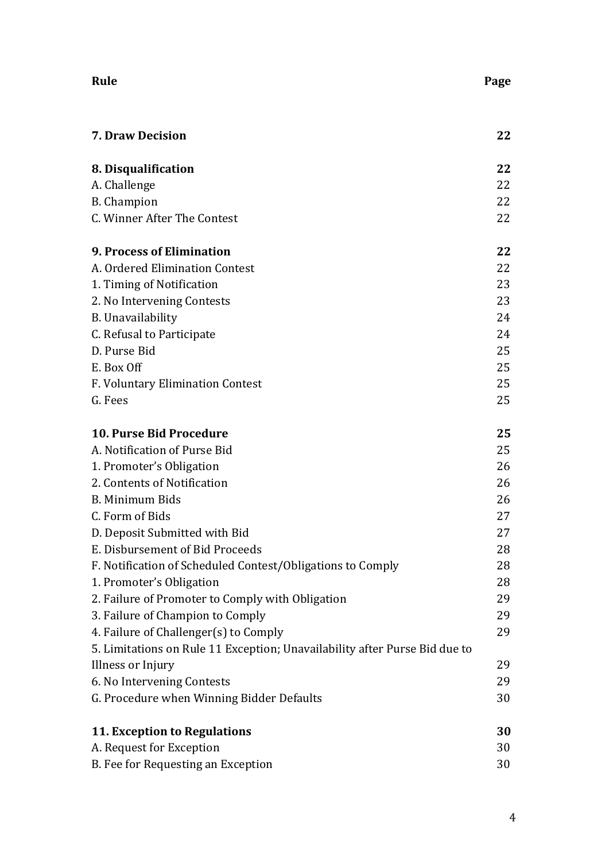| Rule                                                                       | Page |
|----------------------------------------------------------------------------|------|
| <b>7. Draw Decision</b>                                                    | 22   |
| 8. Disqualification                                                        | 22   |
| A. Challenge                                                               | 22   |
| <b>B.</b> Champion                                                         | 22   |
| C. Winner After The Contest                                                | 22   |
| <b>9. Process of Elimination</b>                                           | 22   |
| A. Ordered Elimination Contest                                             | 22   |
| 1. Timing of Notification                                                  | 23   |
| 2. No Intervening Contests                                                 | 23   |
| B. Unavailability                                                          | 24   |
| C. Refusal to Participate                                                  | 24   |
| D. Purse Bid                                                               | 25   |
| E. Box Off                                                                 | 25   |
| F. Voluntary Elimination Contest                                           | 25   |
| G. Fees                                                                    | 25   |
| <b>10. Purse Bid Procedure</b>                                             | 25   |
| A. Notification of Purse Bid                                               | 25   |
| 1. Promoter's Obligation                                                   | 26   |
| 2. Contents of Notification                                                | 26   |
| B. Minimum Bids                                                            | 26   |
| C. Form of Bids                                                            | 27   |
| D. Deposit Submitted with Bid                                              | 27   |
| E. Disbursement of Bid Proceeds                                            | 28   |
| F. Notification of Scheduled Contest/Obligations to Comply                 | 28   |
| 1. Promoter's Obligation                                                   | 28   |
| 2. Failure of Promoter to Comply with Obligation                           | 29   |
| 3. Failure of Champion to Comply                                           | 29   |
| 4. Failure of Challenger(s) to Comply                                      | 29   |
| 5. Limitations on Rule 11 Exception; Unavailability after Purse Bid due to |      |
| Illness or Injury                                                          | 29   |
| 6. No Intervening Contests                                                 | 29   |
| G. Procedure when Winning Bidder Defaults                                  | 30   |
| <b>11. Exception to Regulations</b>                                        | 30   |
| A. Request for Exception                                                   | 30   |
| B. Fee for Requesting an Exception                                         | 30   |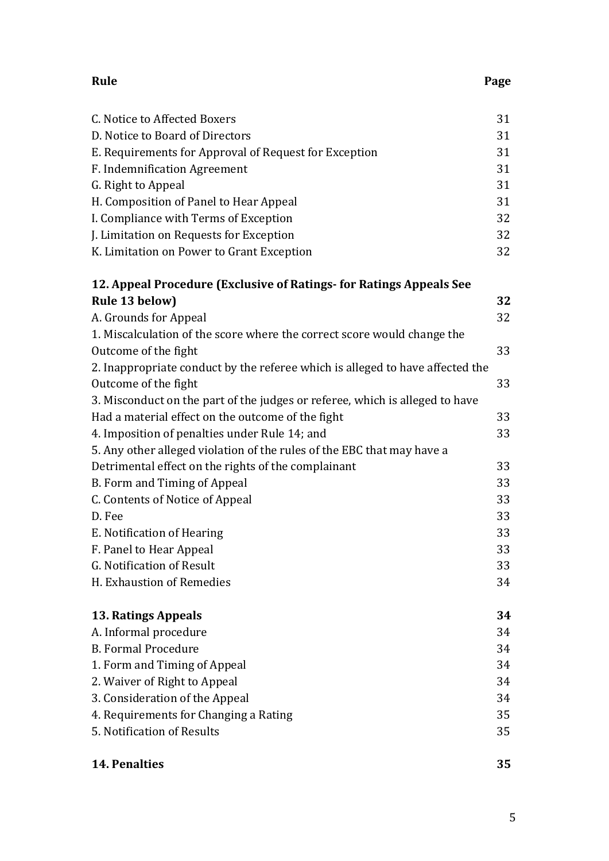| C. Notice to Affected Boxers                                                  | 31 |
|-------------------------------------------------------------------------------|----|
| D. Notice to Board of Directors                                               | 31 |
| E. Requirements for Approval of Request for Exception                         | 31 |
| F. Indemnification Agreement                                                  | 31 |
| G. Right to Appeal                                                            | 31 |
| H. Composition of Panel to Hear Appeal                                        | 31 |
| I. Compliance with Terms of Exception                                         | 32 |
| J. Limitation on Requests for Exception                                       | 32 |
| K. Limitation on Power to Grant Exception                                     | 32 |
| 12. Appeal Procedure (Exclusive of Ratings- for Ratings Appeals See           |    |
| Rule 13 below)                                                                | 32 |
| A. Grounds for Appeal                                                         | 32 |
| 1. Miscalculation of the score where the correct score would change the       |    |
| Outcome of the fight                                                          | 33 |
| 2. Inappropriate conduct by the referee which is alleged to have affected the |    |
| Outcome of the fight                                                          | 33 |
| 3. Misconduct on the part of the judges or referee, which is alleged to have  |    |
| Had a material effect on the outcome of the fight                             | 33 |
| 4. Imposition of penalties under Rule 14; and                                 | 33 |
| 5. Any other alleged violation of the rules of the EBC that may have a        |    |
| Detrimental effect on the rights of the complainant                           | 33 |
| B. Form and Timing of Appeal                                                  | 33 |
| C. Contents of Notice of Appeal                                               | 33 |
| D. Fee                                                                        | 33 |
| E. Notification of Hearing                                                    | 33 |
| F. Panel to Hear Appeal                                                       | 33 |
| G. Notification of Result                                                     | 33 |
| H. Exhaustion of Remedies                                                     | 34 |
|                                                                               |    |

| <b>13. Ratings Appeals</b>                                    |  |
|---------------------------------------------------------------|--|
| $\Lambda$ . Let $f_2$ and $f_1$ and $f_2$ and $f_3$ and $f_4$ |  |

| A. Informal procedure                 | 34 |
|---------------------------------------|----|
| <b>B. Formal Procedure</b>            | 34 |
| 1. Form and Timing of Appeal          | 34 |
| 2. Waiver of Right to Appeal          | 34 |
| 3. Consideration of the Appeal        | 34 |
| 4. Requirements for Changing a Rating | 35 |
| 5. Notification of Results            | 35 |
|                                       |    |

# **14.** Penalties 35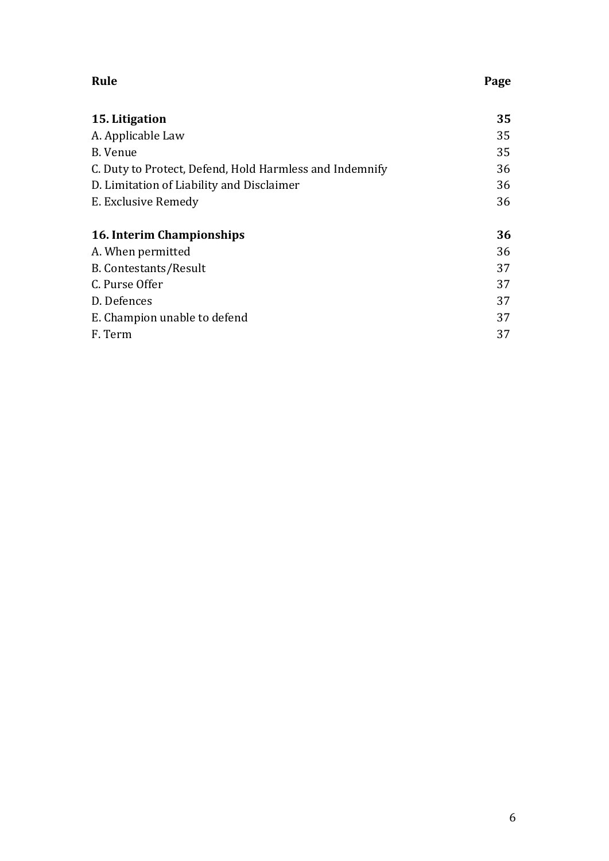| Rule | Page |
|------|------|
|------|------|

| 15. Litigation                                          | 35 |
|---------------------------------------------------------|----|
| A. Applicable Law                                       | 35 |
| B. Venue                                                | 35 |
| C. Duty to Protect, Defend, Hold Harmless and Indemnify | 36 |
| D. Limitation of Liability and Disclaimer               | 36 |
| E. Exclusive Remedy                                     | 36 |
|                                                         |    |
| 16. Interim Championships                               | 36 |
| A. When permitted                                       | 36 |
| <b>B. Contestants/Result</b>                            | 37 |
| C. Purse Offer                                          | 37 |
| D. Defences                                             | 37 |
| E. Champion unable to defend                            | 37 |
| F. Term                                                 | 37 |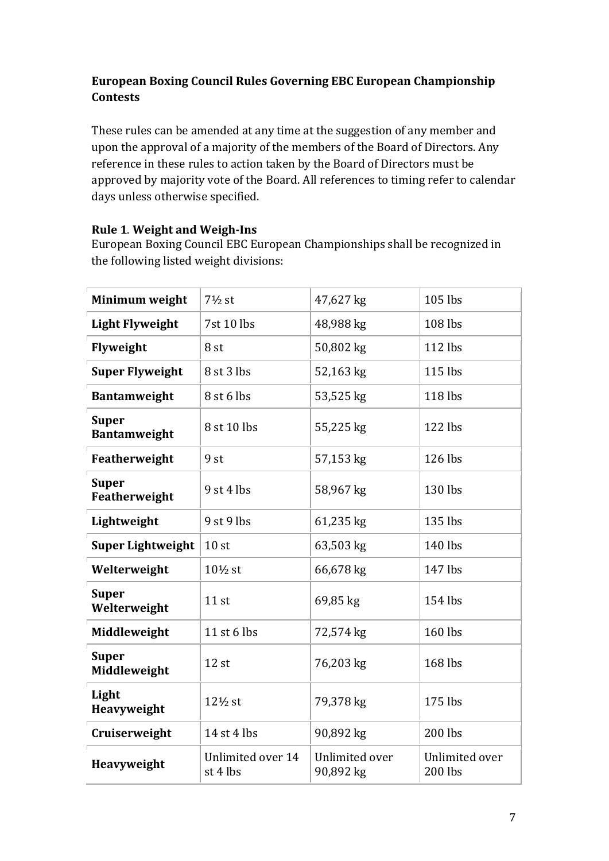# **European Boxing Council Rules Governing EBC European Championship Contests**

These rules can be amended at any time at the suggestion of any member and upon the approval of a majority of the members of the Board of Directors. Any reference in these rules to action taken by the Board of Directors must be approved by majority vote of the Board. All references to timing refer to calendar days unless otherwise specified.

## **Rule 1. Weight and Weigh-Ins**

European Boxing Council EBC European Championships shall be recognized in the following listed weight divisions:

| Minimum weight                      | $7\frac{1}{2}$ st             | 47,627 kg                   | 105 lbs                   |
|-------------------------------------|-------------------------------|-----------------------------|---------------------------|
| <b>Light Flyweight</b>              | 7st 10 lbs                    | 48,988 kg                   | 108 lbs                   |
| Flyweight                           | 8 <sub>st</sub>               | 50,802 kg                   | 112 lbs                   |
| <b>Super Flyweight</b>              | 8 st 3 lbs                    | 52,163 kg                   | 115 lbs                   |
| <b>Bantamweight</b>                 | 8 st 6 lbs                    | 53,525 kg                   | 118 lbs                   |
| <b>Super</b><br><b>Bantamweight</b> | 8 st 10 lbs                   | 55,225 kg                   | 122 lbs                   |
| Featherweight                       | 9 <sub>st</sub>               | 57,153 kg                   | 126 lbs                   |
| <b>Super</b><br>Featherweight       | $9$ st 4 lbs                  | 58,967 kg                   | 130 lbs                   |
| Lightweight                         | 9 st 9 lbs                    | 61,235 kg                   | 135 lbs                   |
| <b>Super Lightweight</b>            | 10 <sub>st</sub>              | 63,503 kg                   | 140 lbs                   |
| Welterweight                        | $10\frac{1}{2}$ st            | 66,678 kg                   | 147 lbs                   |
| <b>Super</b><br>Welterweight        | $11$ st                       | 69,85 kg                    | 154 lbs                   |
| Middleweight                        | 11 st 6 lbs                   | 72,574 kg                   | 160 lbs                   |
| <b>Super</b><br>Middleweight        | $12$ st                       | 76,203 kg                   | 168 lbs                   |
| Light<br>Heavyweight                | 12½ st                        | 79,378 kg                   | 175 lbs                   |
| Cruiserweight                       | 14 st 4 lbs                   | 90,892 kg                   | 200 lbs                   |
| Heavyweight                         | Unlimited over 14<br>st 4 lbs | Unlimited over<br>90,892 kg | Unlimited over<br>200 lbs |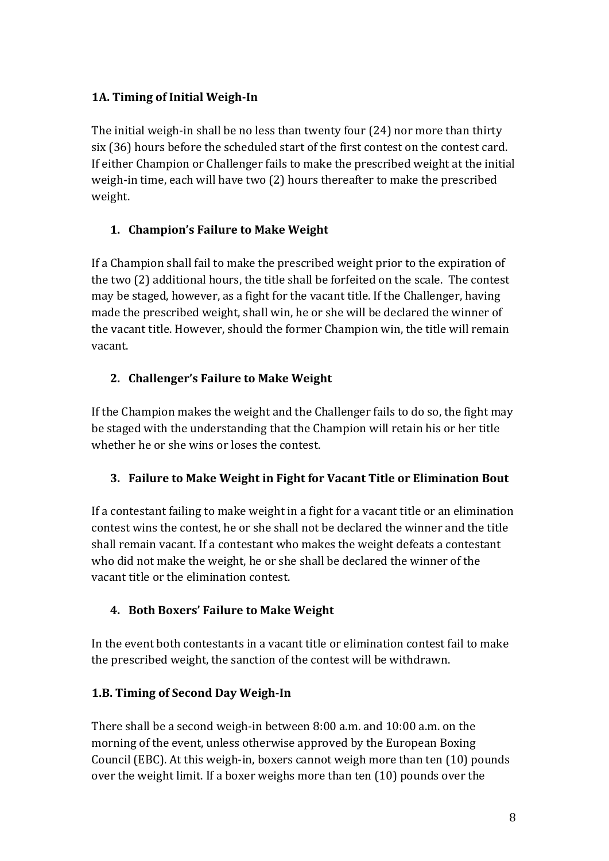# **1A. Timing of Initial Weigh-In**

The initial weigh-in shall be no less than twenty four  $(24)$  nor more than thirty six (36) hours before the scheduled start of the first contest on the contest card. If either Champion or Challenger fails to make the prescribed weight at the initial weigh-in time, each will have two (2) hours thereafter to make the prescribed weight. 

# **1. Champion's Failure to Make Weight**

If a Champion shall fail to make the prescribed weight prior to the expiration of the two  $(2)$  additional hours, the title shall be forfeited on the scale. The contest may be staged, however, as a fight for the vacant title. If the Challenger, having made the prescribed weight, shall win, he or she will be declared the winner of the vacant title. However, should the former Champion win, the title will remain vacant. 

## **2. Challenger's Failure to Make Weight**

If the Champion makes the weight and the Challenger fails to do so, the fight may be staged with the understanding that the Champion will retain his or her title whether he or she wins or loses the contest.

#### **3. Failure to Make Weight in Fight for Vacant Title or Elimination Bout**

If a contestant failing to make weight in a fight for a vacant title or an elimination contest wins the contest, he or she shall not be declared the winner and the title shall remain vacant. If a contestant who makes the weight defeats a contestant who did not make the weight, he or she shall be declared the winner of the vacant title or the elimination contest.

# **4.** Both Boxers' Failure to Make Weight

In the event both contestants in a vacant title or elimination contest fail to make the prescribed weight, the sanction of the contest will be withdrawn.

# **1.B. Timing of Second Day Weigh-In**

There shall be a second weigh-in between 8:00 a.m. and 10:00 a.m. on the morning of the event, unless otherwise approved by the European Boxing Council (EBC). At this weigh-in, boxers cannot weigh more than ten (10) pounds over the weight limit. If a boxer weighs more than ten  $(10)$  pounds over the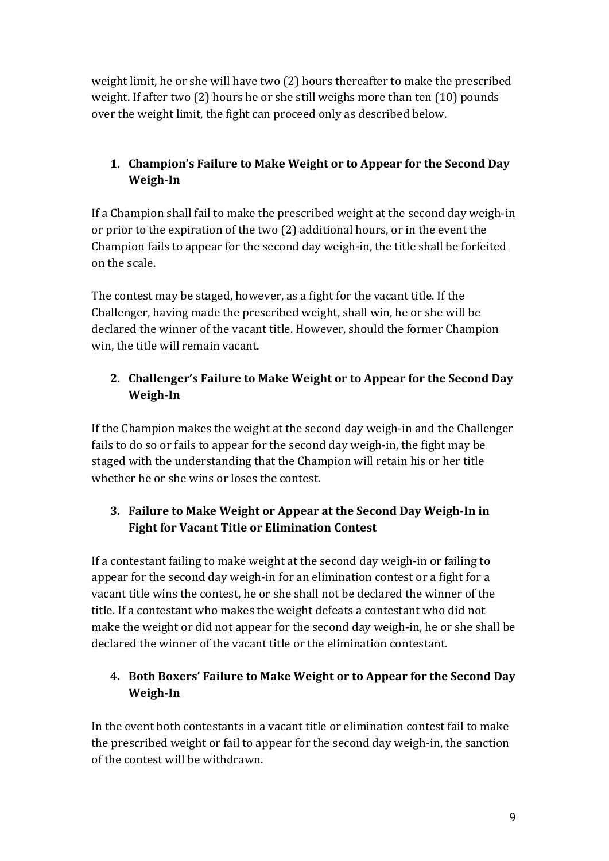weight limit, he or she will have two (2) hours thereafter to make the prescribed weight. If after two  $(2)$  hours he or she still weighs more than ten  $(10)$  pounds over the weight limit, the fight can proceed only as described below.

# **1. Champion's Failure to Make Weight or to Appear for the Second Day Weigh-In**

If a Champion shall fail to make the prescribed weight at the second day weigh-in or prior to the expiration of the two (2) additional hours, or in the event the Champion fails to appear for the second day weigh-in, the title shall be forfeited on the scale.

The contest may be staged, however, as a fight for the vacant title. If the Challenger, having made the prescribed weight, shall win, he or she will be declared the winner of the vacant title. However, should the former Champion win, the title will remain vacant.

# **2. Challenger's Failure to Make Weight or to Appear for the Second Day Weigh-In**

If the Champion makes the weight at the second day weigh-in and the Challenger fails to do so or fails to appear for the second day weigh-in, the fight may be staged with the understanding that the Champion will retain his or her title whether he or she wins or loses the contest.

# **3. Failure to Make Weight or Appear at the Second Day Weigh-In in Fight for Vacant Title or Elimination Contest**

If a contestant failing to make weight at the second day weigh-in or failing to appear for the second day weigh-in for an elimination contest or a fight for a vacant title wins the contest, he or she shall not be declared the winner of the title. If a contestant who makes the weight defeats a contestant who did not make the weight or did not appear for the second day weigh-in, he or she shall be declared the winner of the vacant title or the elimination contestant.

# **4.** Both Boxers' Failure to Make Weight or to Appear for the Second Day **Weigh-In**

In the event both contestants in a vacant title or elimination contest fail to make the prescribed weight or fail to appear for the second day weigh-in, the sanction of the contest will be withdrawn.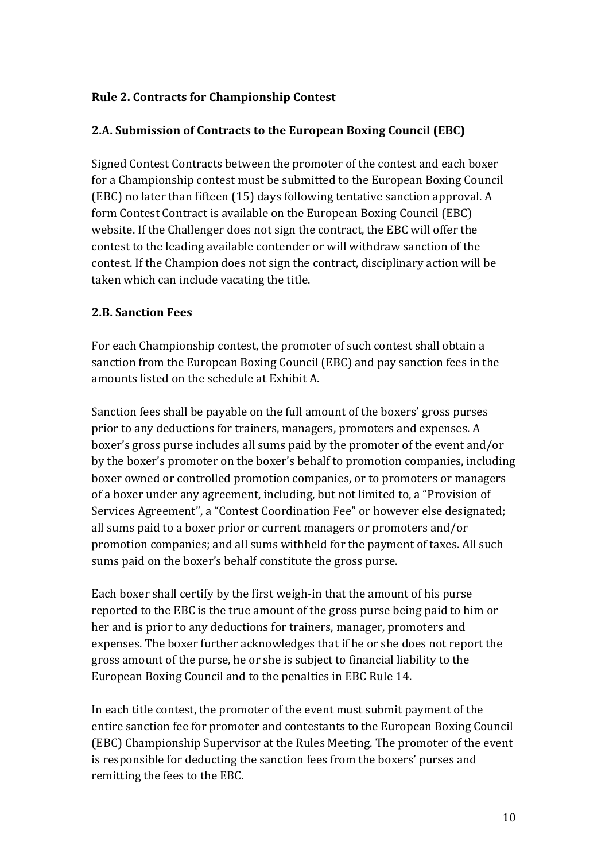#### **Rule 2. Contracts for Championship Contest**

#### **2.A. Submission of Contracts to the European Boxing Council (EBC)**

Signed Contest Contracts between the promoter of the contest and each boxer for a Championship contest must be submitted to the European Boxing Council (EBC) no later than fifteen  $(15)$  days following tentative sanction approval. A form Contest Contract is available on the European Boxing Council (EBC) website. If the Challenger does not sign the contract, the EBC will offer the contest to the leading available contender or will withdraw sanction of the contest. If the Champion does not sign the contract, disciplinary action will be taken which can include vacating the title.

#### **2.B. Sanction Fees**

For each Championship contest, the promoter of such contest shall obtain a sanction from the European Boxing Council (EBC) and pay sanction fees in the amounts listed on the schedule at Exhibit A.

Sanction fees shall be payable on the full amount of the boxers' gross purses prior to any deductions for trainers, managers, promoters and expenses. A boxer's gross purse includes all sums paid by the promoter of the event and/or by the boxer's promoter on the boxer's behalf to promotion companies, including boxer owned or controlled promotion companies, or to promoters or managers of a boxer under any agreement, including, but not limited to, a "Provision of Services Agreement", a "Contest Coordination Fee" or however else designated; all sums paid to a boxer prior or current managers or promoters and/or promotion companies; and all sums withheld for the payment of taxes. All such sums paid on the boxer's behalf constitute the gross purse.

Each boxer shall certify by the first weigh-in that the amount of his purse reported to the EBC is the true amount of the gross purse being paid to him or her and is prior to any deductions for trainers, manager, promoters and expenses. The boxer further acknowledges that if he or she does not report the gross amount of the purse, he or she is subject to financial liability to the European Boxing Council and to the penalties in EBC Rule 14.

In each title contest, the promoter of the event must submit payment of the entire sanction fee for promoter and contestants to the European Boxing Council (EBC) Championship Supervisor at the Rules Meeting. The promoter of the event is responsible for deducting the sanction fees from the boxers' purses and remitting the fees to the EBC.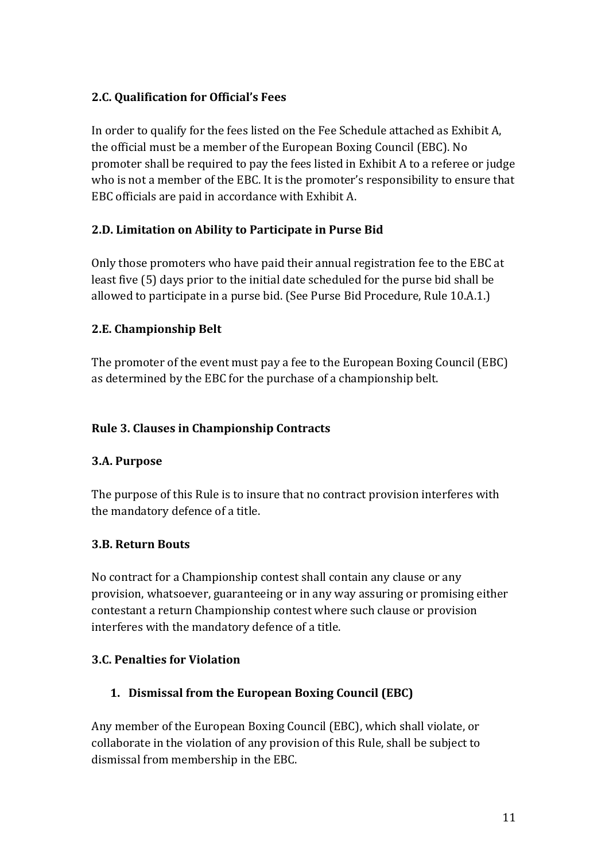## **2.C. Qualification for Official's Fees**

In order to qualify for the fees listed on the Fee Schedule attached as Exhibit A, the official must be a member of the European Boxing Council (EBC). No promoter shall be required to pay the fees listed in Exhibit A to a referee or judge who is not a member of the EBC. It is the promoter's responsibility to ensure that EBC officials are paid in accordance with Exhibit A.

## **2.D. Limitation on Ability to Participate in Purse Bid**

Only those promoters who have paid their annual registration fee to the EBC at least five (5) days prior to the initial date scheduled for the purse bid shall be allowed to participate in a purse bid. (See Purse Bid Procedure, Rule 10.A.1.)

## **2.E. Championship Belt**

The promoter of the event must pay a fee to the European Boxing Council (EBC) as determined by the EBC for the purchase of a championship belt.

#### **Rule 3. Clauses in Championship Contracts**

#### **3.A. Purpose**

The purpose of this Rule is to insure that no contract provision interferes with the mandatory defence of a title.

#### **3.B. Return Bouts**

No contract for a Championship contest shall contain any clause or any provision, whatsoever, guaranteeing or in any way assuring or promising either contestant a return Championship contest where such clause or provision interferes with the mandatory defence of a title.

#### **3.C. Penalties for Violation**

# **1. Dismissal from the European Boxing Council (EBC)**

Any member of the European Boxing Council (EBC), which shall violate, or collaborate in the violation of any provision of this Rule, shall be subject to dismissal from membership in the EBC.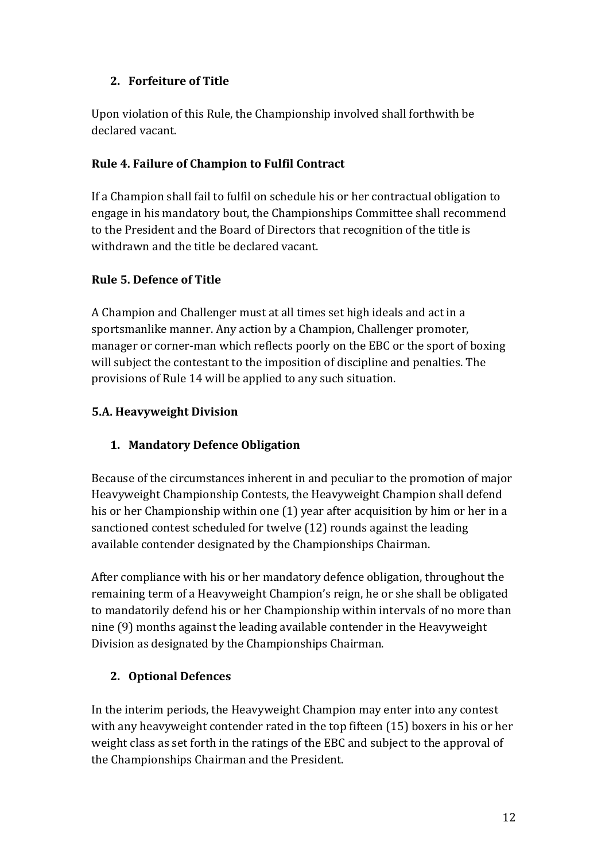# **2. Forfeiture of Title**

Upon violation of this Rule, the Championship involved shall forthwith be declared vacant.

## **Rule 4. Failure of Champion to Fulfil Contract**

If a Champion shall fail to fulfil on schedule his or her contractual obligation to engage in his mandatory bout, the Championships Committee shall recommend to the President and the Board of Directors that recognition of the title is withdrawn and the title be declared vacant.

#### **Rule 5. Defence of Title**

A Champion and Challenger must at all times set high ideals and act in a sportsmanlike manner. Any action by a Champion, Challenger promoter, manager or corner-man which reflects poorly on the EBC or the sport of boxing will subject the contestant to the imposition of discipline and penalties. The provisions of Rule 14 will be applied to any such situation.

## **5.A. Heavyweight Division**

# **1. Mandatory Defence Obligation**

Because of the circumstances inherent in and peculiar to the promotion of major Heavyweight Championship Contests, the Heavyweight Champion shall defend his or her Championship within one  $(1)$  year after acquisition by him or her in a sanctioned contest scheduled for twelve (12) rounds against the leading available contender designated by the Championships Chairman.

After compliance with his or her mandatory defence obligation, throughout the remaining term of a Heavyweight Champion's reign, he or she shall be obligated to mandatorily defend his or her Championship within intervals of no more than nine (9) months against the leading available contender in the Heavyweight Division as designated by the Championships Chairman.

# **2. Optional Defences**

In the interim periods, the Heavyweight Champion may enter into any contest with any heavyweight contender rated in the top fifteen  $(15)$  boxers in his or her weight class as set forth in the ratings of the EBC and subject to the approval of the Championships Chairman and the President.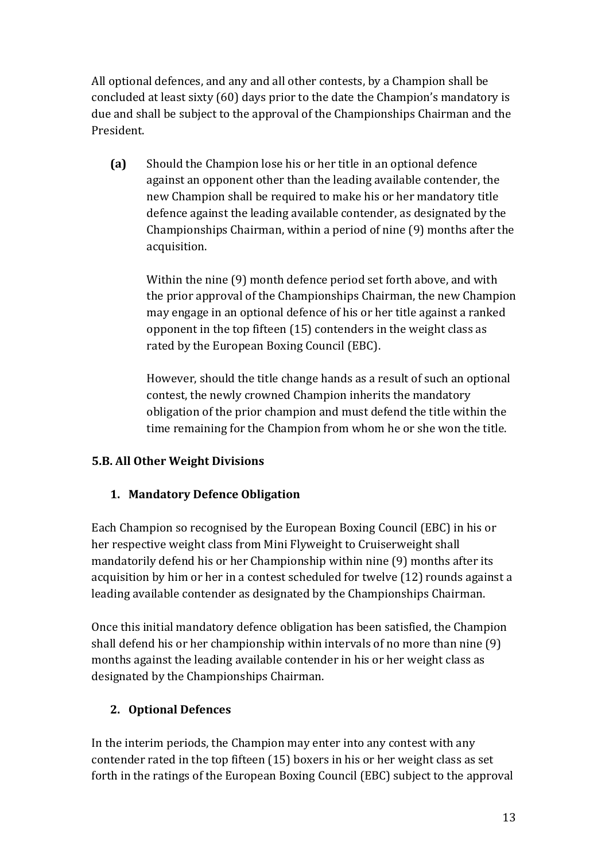All optional defences, and any and all other contests, by a Champion shall be concluded at least sixty (60) days prior to the date the Champion's mandatory is due and shall be subject to the approval of the Championships Chairman and the President.

**(a)** Should the Champion lose his or her title in an optional defence against an opponent other than the leading available contender, the new Champion shall be required to make his or her mandatory title defence against the leading available contender, as designated by the Championships Chairman, within a period of nine (9) months after the acquisition. 

Within the nine (9) month defence period set forth above, and with the prior approval of the Championships Chairman, the new Champion may engage in an optional defence of his or her title against a ranked opponent in the top fifteen  $(15)$  contenders in the weight class as rated by the European Boxing Council (EBC).

However, should the title change hands as a result of such an optional contest, the newly crowned Champion inherits the mandatory obligation of the prior champion and must defend the title within the time remaining for the Champion from whom he or she won the title.

# **5.B. All Other Weight Divisions**

# **1. Mandatory Defence Obligation**

Each Champion so recognised by the European Boxing Council (EBC) in his or her respective weight class from Mini Flyweight to Cruiserweight shall mandatorily defend his or her Championship within nine (9) months after its acquisition by him or her in a contest scheduled for twelve (12) rounds against a leading available contender as designated by the Championships Chairman.

Once this initial mandatory defence obligation has been satisfied, the Champion shall defend his or her championship within intervals of no more than nine  $(9)$ months against the leading available contender in his or her weight class as designated by the Championships Chairman.

# **2. Optional Defences**

In the interim periods, the Champion may enter into any contest with any contender rated in the top fifteen  $(15)$  boxers in his or her weight class as set forth in the ratings of the European Boxing Council (EBC) subject to the approval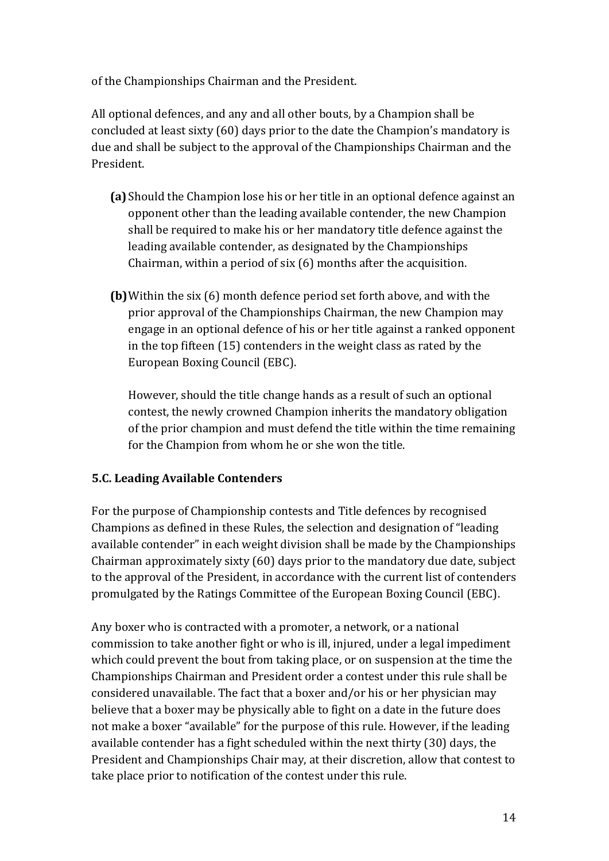of the Championships Chairman and the President.

All optional defences, and any and all other bouts, by a Champion shall be concluded at least sixty (60) days prior to the date the Champion's mandatory is due and shall be subject to the approval of the Championships Chairman and the President.

- **(a)** Should the Champion lose his or her title in an optional defence against an opponent other than the leading available contender, the new Champion shall be required to make his or her mandatory title defence against the leading available contender, as designated by the Championships Chairman, within a period of six  $(6)$  months after the acquisition.
- **(b)** Within the six (6) month defence period set forth above, and with the prior approval of the Championships Chairman, the new Champion may engage in an optional defence of his or her title against a ranked opponent in the top fifteen  $(15)$  contenders in the weight class as rated by the European Boxing Council (EBC).

However, should the title change hands as a result of such an optional contest, the newly crowned Champion inherits the mandatory obligation of the prior champion and must defend the title within the time remaining for the Champion from whom he or she won the title.

#### **5.C. Leading Available Contenders**

For the purpose of Championship contests and Title defences by recognised Champions as defined in these Rules, the selection and designation of "leading" available contender" in each weight division shall be made by the Championships Chairman approximately sixty  $(60)$  days prior to the mandatory due date, subject to the approval of the President, in accordance with the current list of contenders promulgated by the Ratings Committee of the European Boxing Council (EBC).

Any boxer who is contracted with a promoter, a network, or a national commission to take another fight or who is ill, injured, under a legal impediment which could prevent the bout from taking place, or on suspension at the time the Championships Chairman and President order a contest under this rule shall be considered unavailable. The fact that a boxer and/or his or her physician may believe that a boxer may be physically able to fight on a date in the future does not make a boxer "available" for the purpose of this rule. However, if the leading available contender has a fight scheduled within the next thirty (30) days, the President and Championships Chair may, at their discretion, allow that contest to take place prior to notification of the contest under this rule.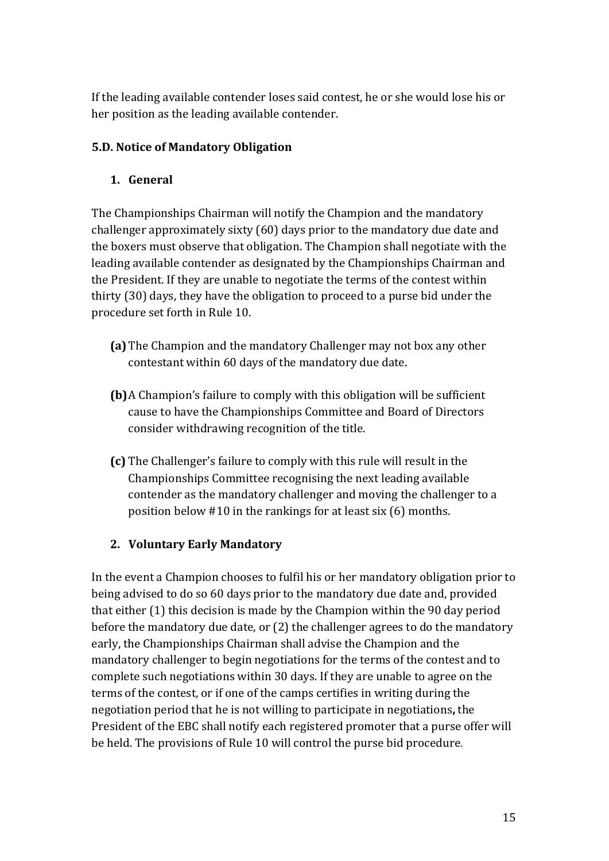If the leading available contender loses said contest, he or she would lose his or her position as the leading available contender.

# **5.D. Notice of Mandatory Obligation**

# **1. General**

The Championships Chairman will notify the Champion and the mandatory challenger approximately sixty (60) days prior to the mandatory due date and the boxers must observe that obligation. The Champion shall negotiate with the leading available contender as designated by the Championships Chairman and the President. If they are unable to negotiate the terms of the contest within thirty  $(30)$  days, they have the obligation to proceed to a purse bid under the procedure set forth in Rule 10.

- **(a)** The Champion and the mandatory Challenger may not box any other contestant within 60 days of the mandatory due date.
- **(b)** A Champion's failure to comply with this obligation will be sufficient cause to have the Championships Committee and Board of Directors consider withdrawing recognition of the title.
- **(c)** The Challenger's failure to comply with this rule will result in the Championships Committee recognising the next leading available contender as the mandatory challenger and moving the challenger to a position below  $#10$  in the rankings for at least six (6) months.

# **2. Voluntary Early Mandatory**

In the event a Champion chooses to fulfil his or her mandatory obligation prior to being advised to do so 60 days prior to the mandatory due date and, provided that either  $(1)$  this decision is made by the Champion within the 90 day period before the mandatory due date, or  $(2)$  the challenger agrees to do the mandatory early, the Championships Chairman shall advise the Champion and the mandatory challenger to begin negotiations for the terms of the contest and to complete such negotiations within 30 days. If they are unable to agree on the terms of the contest, or if one of the camps certifies in writing during the negotiation period that he is not willing to participate in negotiations, the President of the EBC shall notify each registered promoter that a purse offer will be held. The provisions of Rule 10 will control the purse bid procedure.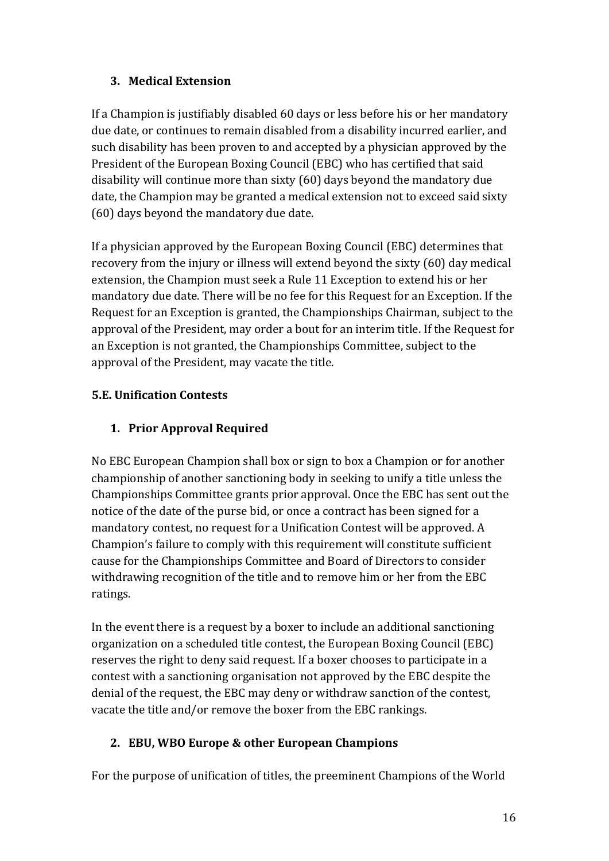# **3.** Medical Extension

If a Champion is justifiably disabled 60 days or less before his or her mandatory due date, or continues to remain disabled from a disability incurred earlier, and such disability has been proven to and accepted by a physician approved by the President of the European Boxing Council (EBC) who has certified that said disability will continue more than sixty  $(60)$  days beyond the mandatory due date, the Champion may be granted a medical extension not to exceed said sixty (60) days beyond the mandatory due date.

If a physician approved by the European Boxing Council (EBC) determines that recovery from the injury or illness will extend beyond the sixty  $(60)$  day medical extension, the Champion must seek a Rule 11 Exception to extend his or her mandatory due date. There will be no fee for this Request for an Exception. If the Request for an Exception is granted, the Championships Chairman, subject to the approval of the President, may order a bout for an interim title. If the Request for an Exception is not granted, the Championships Committee, subject to the approval of the President, may vacate the title.

# **5.E. Unification Contests**

# **1. Prior Approval Required**

No EBC European Champion shall box or sign to box a Champion or for another championship of another sanctioning body in seeking to unify a title unless the Championships Committee grants prior approval. Once the EBC has sent out the notice of the date of the purse bid, or once a contract has been signed for a mandatory contest, no request for a Unification Contest will be approved. A Champion's failure to comply with this requirement will constitute sufficient cause for the Championships Committee and Board of Directors to consider withdrawing recognition of the title and to remove him or her from the EBC ratings. 

In the event there is a request by a boxer to include an additional sanctioning organization on a scheduled title contest, the European Boxing Council (EBC) reserves the right to deny said request. If a boxer chooses to participate in a contest with a sanctioning organisation not approved by the EBC despite the denial of the request, the EBC may deny or withdraw sanction of the contest, vacate the title and/or remove the boxer from the EBC rankings.

# **2. EBU, WBO Europe & other European Champions**

For the purpose of unification of titles, the preeminent Champions of the World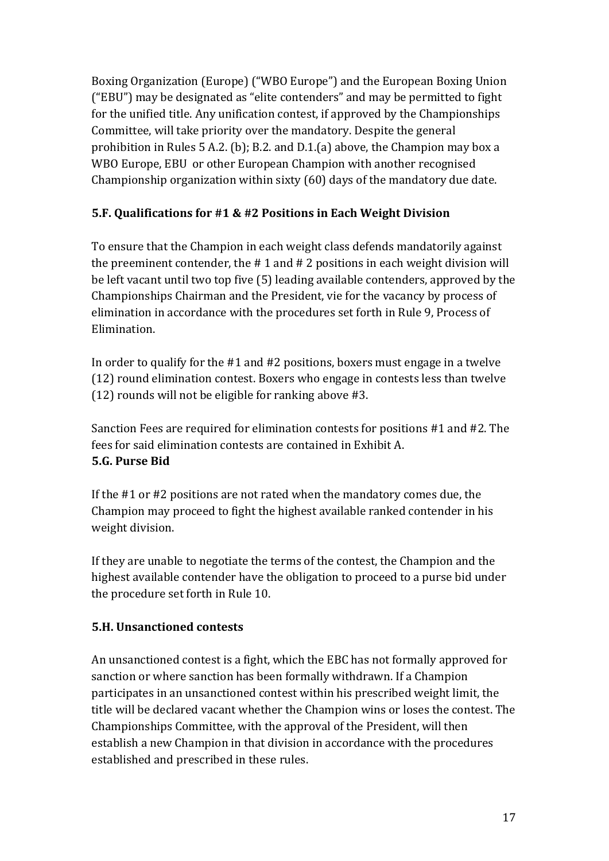Boxing Organization (Europe) ("WBO Europe") and the European Boxing Union ("EBU") may be designated as "elite contenders" and may be permitted to fight for the unified title. Any unification contest, if approved by the Championships Committee, will take priority over the mandatory. Despite the general prohibition in Rules 5 A.2. (b); B.2. and D.1.(a) above, the Champion may box a WBO Europe, EBU or other European Champion with another recognised Championship organization within sixty  $(60)$  days of the mandatory due date.

# **5.F. Qualifications for #1 & #2 Positions in Each Weight Division**

To ensure that the Champion in each weight class defends mandatorily against the preeminent contender, the  $# 1$  and  $# 2$  positions in each weight division will be left vacant until two top five (5) leading available contenders, approved by the Championships Chairman and the President, vie for the vacancy by process of elimination in accordance with the procedures set forth in Rule 9, Process of Elimination. 

In order to qualify for the  $#1$  and  $#2$  positions, boxers must engage in a twelve (12) round elimination contest. Boxers who engage in contests less than twelve  $(12)$  rounds will not be eligible for ranking above #3.

Sanction Fees are required for elimination contests for positions #1 and #2. The fees for said elimination contests are contained in Exhibit A. **5.G. Purse Bid** 

If the  $#1$  or  $#2$  positions are not rated when the mandatory comes due, the Champion may proceed to fight the highest available ranked contender in his weight division.

If they are unable to negotiate the terms of the contest, the Champion and the highest available contender have the obligation to proceed to a purse bid under the procedure set forth in Rule 10.

# **5.H.** Unsanctioned contests

An unsanctioned contest is a fight, which the EBC has not formally approved for sanction or where sanction has been formally withdrawn. If a Champion participates in an unsanctioned contest within his prescribed weight limit, the title will be declared vacant whether the Champion wins or loses the contest. The Championships Committee, with the approval of the President, will then establish a new Champion in that division in accordance with the procedures established and prescribed in these rules.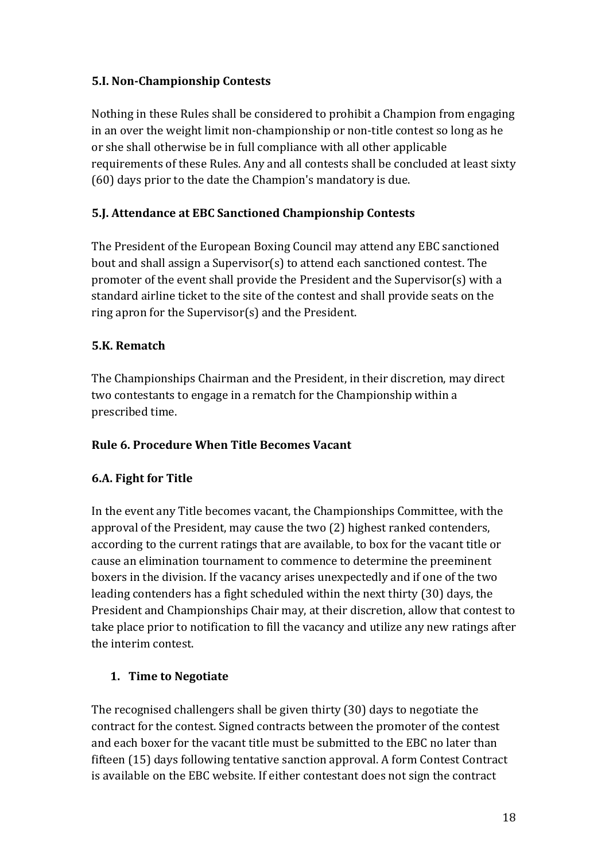## **5.I. Non-Championship Contests**

Nothing in these Rules shall be considered to prohibit a Champion from engaging in an over the weight limit non-championship or non-title contest so long as he or she shall otherwise be in full compliance with all other applicable requirements of these Rules. Any and all contests shall be concluded at least sixty  $(60)$  days prior to the date the Champion's mandatory is due.

## **5.J. Attendance at EBC Sanctioned Championship Contests**

The President of the European Boxing Council may attend any EBC sanctioned bout and shall assign a Supervisor(s) to attend each sanctioned contest. The promoter of the event shall provide the President and the Supervisor(s) with a standard airline ticket to the site of the contest and shall provide seats on the ring apron for the Supervisor(s) and the President.

#### **5.K. Rematch**

The Championships Chairman and the President, in their discretion, may direct two contestants to engage in a rematch for the Championship within a prescribed time.

#### **Rule 6. Procedure When Title Becomes Vacant**

#### **6.A. Fight for Title**

In the event any Title becomes vacant, the Championships Committee, with the approval of the President, may cause the two (2) highest ranked contenders, according to the current ratings that are available, to box for the vacant title or cause an elimination tournament to commence to determine the preeminent boxers in the division. If the vacancy arises unexpectedly and if one of the two leading contenders has a fight scheduled within the next thirty (30) days, the President and Championships Chair may, at their discretion, allow that contest to take place prior to notification to fill the vacancy and utilize any new ratings after the interim contest.

#### **1. Time to Negotiate**

The recognised challengers shall be given thirty  $(30)$  days to negotiate the contract for the contest. Signed contracts between the promoter of the contest and each boxer for the vacant title must be submitted to the EBC no later than fifteen (15) days following tentative sanction approval. A form Contest Contract is available on the EBC website. If either contestant does not sign the contract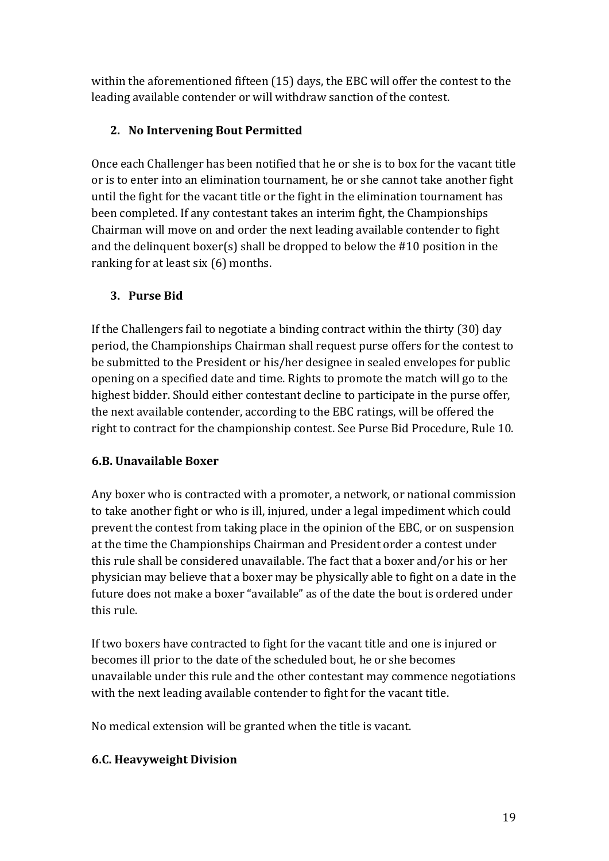within the aforementioned fifteen (15) days, the EBC will offer the contest to the leading available contender or will withdraw sanction of the contest.

# **2. No Intervening Bout Permitted**

Once each Challenger has been notified that he or she is to box for the vacant title or is to enter into an elimination tournament, he or she cannot take another fight until the fight for the vacant title or the fight in the elimination tournament has been completed. If any contestant takes an interim fight, the Championships Chairman will move on and order the next leading available contender to fight and the delinquent boxer(s) shall be dropped to below the  $#10$  position in the ranking for at least  $\sin(6)$  months.

# **3. Purse Bid**

If the Challengers fail to negotiate a binding contract within the thirty  $(30)$  day period, the Championships Chairman shall request purse offers for the contest to be submitted to the President or his/her designee in sealed envelopes for public opening on a specified date and time. Rights to promote the match will go to the highest bidder. Should either contestant decline to participate in the purse offer, the next available contender, according to the EBC ratings, will be offered the right to contract for the championship contest. See Purse Bid Procedure, Rule 10.

# **6.B. Unavailable Boxer**

Any boxer who is contracted with a promoter, a network, or national commission to take another fight or who is ill, injured, under a legal impediment which could prevent the contest from taking place in the opinion of the EBC, or on suspension at the time the Championships Chairman and President order a contest under this rule shall be considered unavailable. The fact that a boxer and/or his or her physician may believe that a boxer may be physically able to fight on a date in the future does not make a boxer "available" as of the date the bout is ordered under this rule.

If two boxers have contracted to fight for the vacant title and one is injured or becomes ill prior to the date of the scheduled bout, he or she becomes unavailable under this rule and the other contestant may commence negotiations with the next leading available contender to fight for the vacant title.

No medical extension will be granted when the title is vacant.

# **6.C. Heavyweight Division**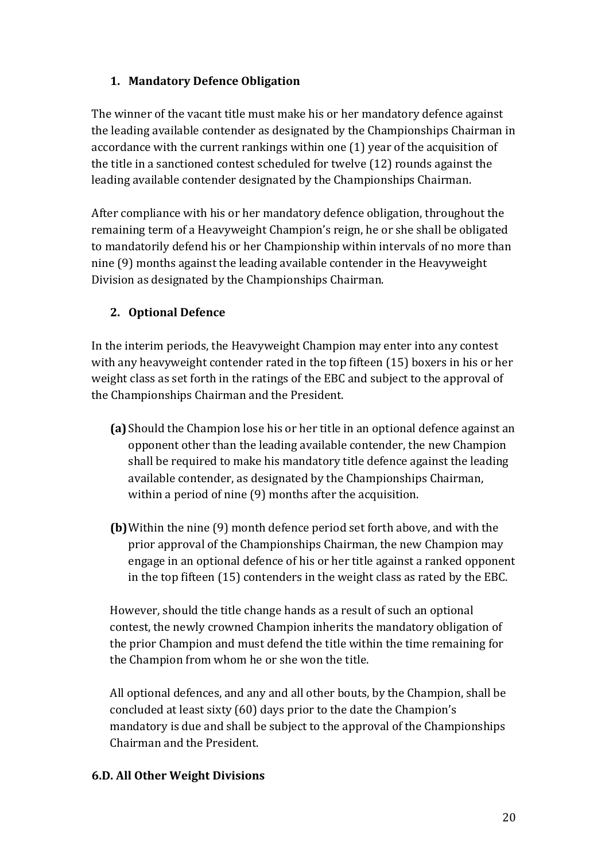# **1. Mandatory Defence Obligation**

The winner of the vacant title must make his or her mandatory defence against the leading available contender as designated by the Championships Chairman in accordance with the current rankings within one  $(1)$  year of the acquisition of the title in a sanctioned contest scheduled for twelve  $(12)$  rounds against the leading available contender designated by the Championships Chairman.

After compliance with his or her mandatory defence obligation, throughout the remaining term of a Heavyweight Champion's reign, he or she shall be obligated to mandatorily defend his or her Championship within intervals of no more than nine (9) months against the leading available contender in the Heavyweight Division as designated by the Championships Chairman.

# **2. Optional Defence**

In the interim periods, the Heavyweight Champion may enter into any contest with any heavyweight contender rated in the top fifteen  $(15)$  boxers in his or her weight class as set forth in the ratings of the EBC and subject to the approval of the Championships Chairman and the President.

- **(a)** Should the Champion lose his or her title in an optional defence against an opponent other than the leading available contender, the new Champion shall be required to make his mandatory title defence against the leading available contender, as designated by the Championships Chairman, within a period of nine  $(9)$  months after the acquisition.
- **(b)** Within the nine (9) month defence period set forth above, and with the prior approval of the Championships Chairman, the new Champion may engage in an optional defence of his or her title against a ranked opponent in the top fifteen  $(15)$  contenders in the weight class as rated by the EBC.

However, should the title change hands as a result of such an optional contest, the newly crowned Champion inherits the mandatory obligation of the prior Champion and must defend the title within the time remaining for the Champion from whom he or she won the title.

All optional defences, and any and all other bouts, by the Champion, shall be concluded at least sixty (60) days prior to the date the Champion's mandatory is due and shall be subject to the approval of the Championships Chairman and the President.

#### **6.D. All Other Weight Divisions**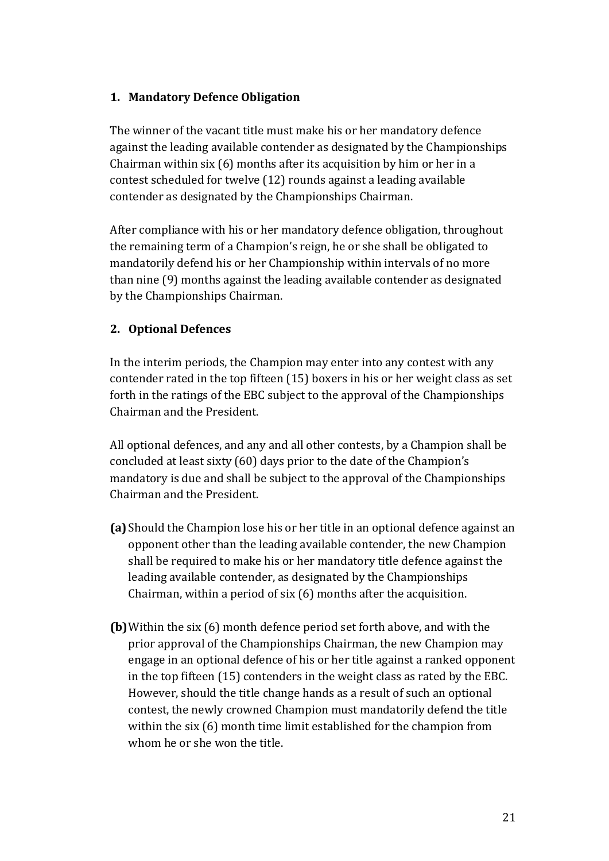#### **1. Mandatory Defence Obligation**

The winner of the vacant title must make his or her mandatory defence against the leading available contender as designated by the Championships Chairman within  $\text{six}(6)$  months after its acquisition by him or her in a contest scheduled for twelve (12) rounds against a leading available contender as designated by the Championships Chairman.

After compliance with his or her mandatory defence obligation, throughout the remaining term of a Champion's reign, he or she shall be obligated to mandatorily defend his or her Championship within intervals of no more than nine (9) months against the leading available contender as designated by the Championships Chairman.

#### **2. Optional Defences**

In the interim periods, the Champion may enter into any contest with any contender rated in the top fifteen  $(15)$  boxers in his or her weight class as set forth in the ratings of the EBC subject to the approval of the Championships Chairman and the President

All optional defences, and any and all other contests, by a Champion shall be concluded at least sixty (60) days prior to the date of the Champion's mandatory is due and shall be subject to the approval of the Championships Chairman and the President.

- **(a)** Should the Champion lose his or her title in an optional defence against an opponent other than the leading available contender, the new Champion shall be required to make his or her mandatory title defence against the leading available contender, as designated by the Championships Chairman, within a period of six  $(6)$  months after the acquisition.
- **(b)** Within the six (6) month defence period set forth above, and with the prior approval of the Championships Chairman, the new Champion may engage in an optional defence of his or her title against a ranked opponent in the top fifteen  $(15)$  contenders in the weight class as rated by the EBC. However, should the title change hands as a result of such an optional contest, the newly crowned Champion must mandatorily defend the title within the six  $(6)$  month time limit established for the champion from whom he or she won the title.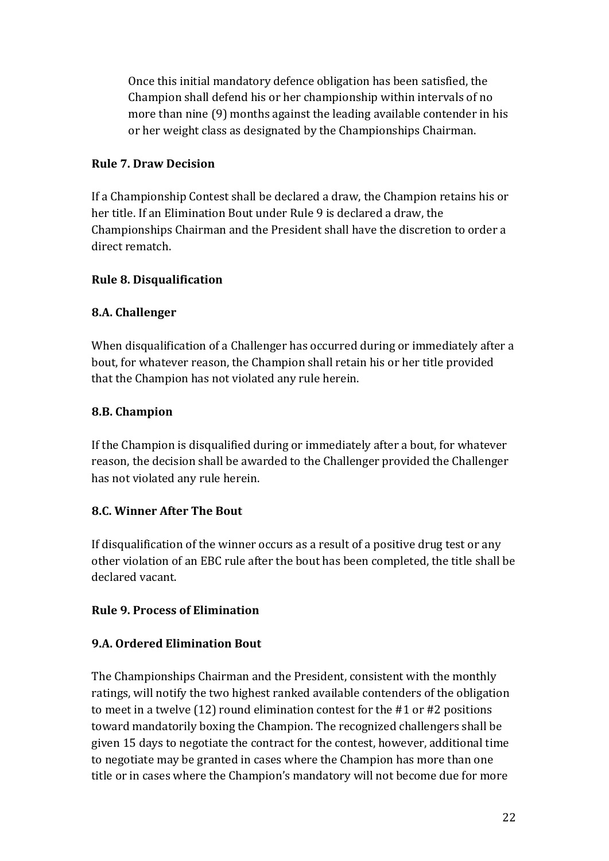Once this initial mandatory defence obligation has been satisfied, the Champion shall defend his or her championship within intervals of no more than nine (9) months against the leading available contender in his or her weight class as designated by the Championships Chairman.

#### **Rule 7. Draw Decision**

If a Championship Contest shall be declared a draw, the Champion retains his or her title. If an Elimination Bout under Rule 9 is declared a draw, the Championships Chairman and the President shall have the discretion to order a direct rematch.

## **Rule 8. Disqualification**

## **8.A.** Challenger

When disqualification of a Challenger has occurred during or immediately after a bout, for whatever reason, the Champion shall retain his or her title provided that the Champion has not violated any rule herein.

## **8.B. Champion**

If the Champion is disqualified during or immediately after a bout, for whatever reason, the decision shall be awarded to the Challenger provided the Challenger has not violated any rule herein.

# **8.C. Winner After The Bout**

If disqualification of the winner occurs as a result of a positive drug test or any other violation of an EBC rule after the bout has been completed, the title shall be declared vacant.

#### **Rule 9. Process of Elimination**

#### **9.A. Ordered Elimination Bout**

The Championships Chairman and the President, consistent with the monthly ratings, will notify the two highest ranked available contenders of the obligation to meet in a twelve  $(12)$  round elimination contest for the #1 or #2 positions toward mandatorily boxing the Champion. The recognized challengers shall be given 15 days to negotiate the contract for the contest, however, additional time to negotiate may be granted in cases where the Champion has more than one title or in cases where the Champion's mandatory will not become due for more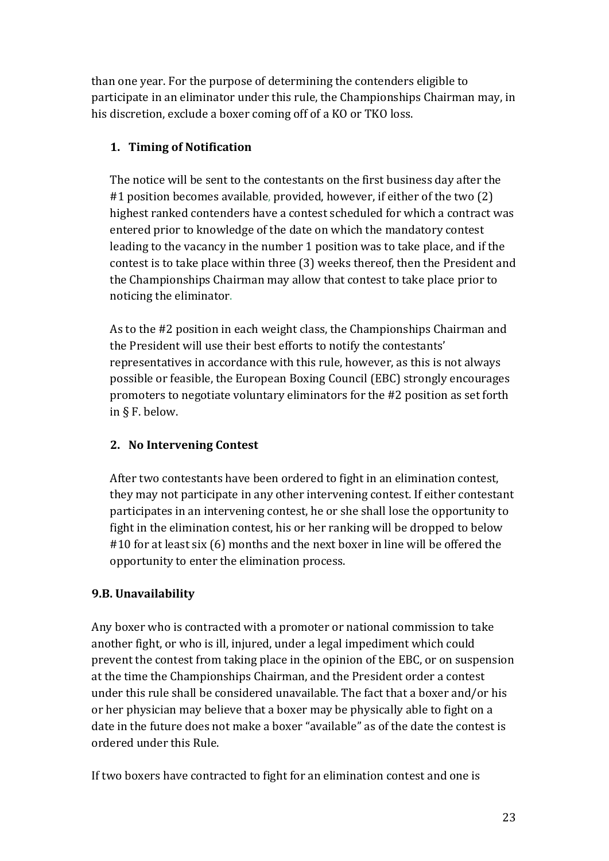than one year. For the purpose of determining the contenders eligible to participate in an eliminator under this rule, the Championships Chairman may, in his discretion, exclude a boxer coming off of a KO or TKO loss.

# **1. Timing of Notification**

The notice will be sent to the contestants on the first business day after the #1 position becomes available, provided, however, if either of the two (2) highest ranked contenders have a contest scheduled for which a contract was entered prior to knowledge of the date on which the mandatory contest leading to the vacancy in the number 1 position was to take place, and if the contest is to take place within three (3) weeks thereof, then the President and the Championships Chairman may allow that contest to take place prior to noticing the eliminator.

As to the #2 position in each weight class, the Championships Chairman and the President will use their best efforts to notify the contestants' representatives in accordance with this rule, however, as this is not always possible or feasible, the European Boxing Council (EBC) strongly encourages promoters to negotiate voluntary eliminators for the #2 position as set forth in  $\S$  F. below.

# **2. No Intervening Contest**

After two contestants have been ordered to fight in an elimination contest, they may not participate in any other intervening contest. If either contestant participates in an intervening contest, he or she shall lose the opportunity to fight in the elimination contest, his or her ranking will be dropped to below #10 for at least six (6) months and the next boxer in line will be offered the opportunity to enter the elimination process.

# **9.B. Unavailability**

Any boxer who is contracted with a promoter or national commission to take another fight, or who is ill, injured, under a legal impediment which could prevent the contest from taking place in the opinion of the EBC, or on suspension at the time the Championships Chairman, and the President order a contest under this rule shall be considered unavailable. The fact that a boxer and/or his or her physician may believe that a boxer may be physically able to fight on a date in the future does not make a boxer "available" as of the date the contest is ordered under this Rule.

If two boxers have contracted to fight for an elimination contest and one is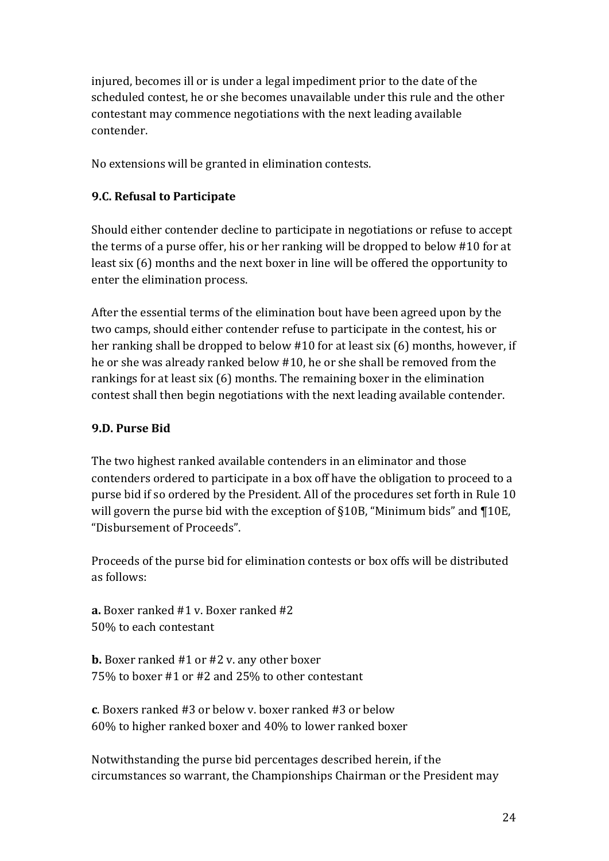injured, becomes ill or is under a legal impediment prior to the date of the scheduled contest, he or she becomes unavailable under this rule and the other contestant may commence negotiations with the next leading available contender. 

No extensions will be granted in elimination contests.

## **9.C. Refusal to Participate**

Should either contender decline to participate in negotiations or refuse to accept the terms of a purse offer, his or her ranking will be dropped to below  $#10$  for at least  $\sin(6)$  months and the next boxer in line will be offered the opportunity to enter the elimination process.

After the essential terms of the elimination bout have been agreed upon by the two camps, should either contender refuse to participate in the contest, his or her ranking shall be dropped to below  $#10$  for at least six (6) months, however, if he or she was already ranked below #10, he or she shall be removed from the rankings for at least  $\sin(6)$  months. The remaining boxer in the elimination contest shall then begin negotiations with the next leading available contender.

## **9.D. Purse Bid**

The two highest ranked available contenders in an eliminator and those contenders ordered to participate in a box off have the obligation to proceed to a purse bid if so ordered by the President. All of the procedures set forth in Rule 10 will govern the purse bid with the exception of  $\S10B$ , "Minimum bids" and  $\P10E$ , "Disbursement of Proceeds".

Proceeds of the purse bid for elimination contests or box offs will be distributed as follows:

**a.** Boxer ranked #1 v. Boxer ranked #2 50% to each contestant

**b.** Boxer ranked #1 or #2 v. any other boxer  $75\%$  to boxer #1 or #2 and 25% to other contestant

**c**. Boxers ranked #3 or below v. boxer ranked #3 or below  $60\%$  to higher ranked boxer and  $40\%$  to lower ranked boxer

Notwithstanding the purse bid percentages described herein, if the circumstances so warrant, the Championships Chairman or the President may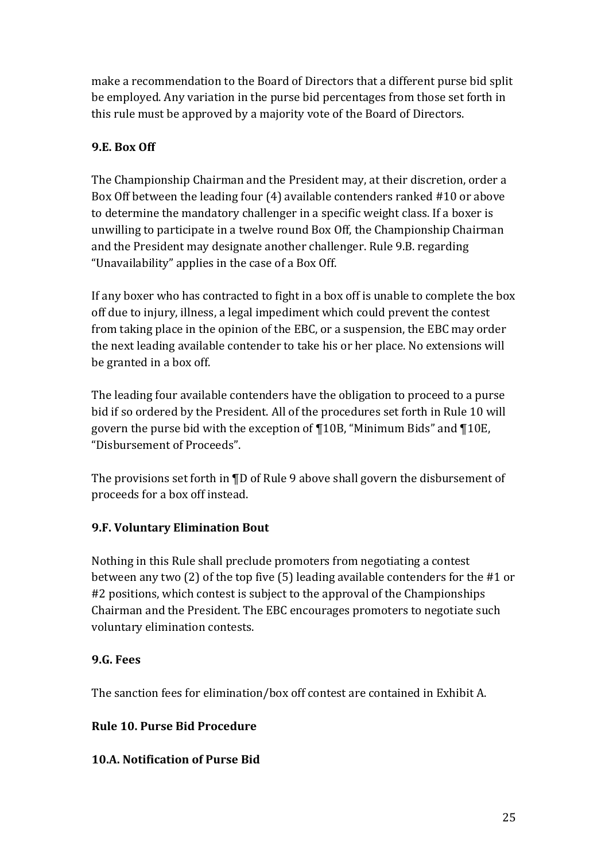make a recommendation to the Board of Directors that a different purse bid split be employed. Any variation in the purse bid percentages from those set forth in this rule must be approved by a majority vote of the Board of Directors.

# **9.E.** Box Off

The Championship Chairman and the President may, at their discretion, order a Box Off between the leading four  $(4)$  available contenders ranked #10 or above to determine the mandatory challenger in a specific weight class. If a boxer is unwilling to participate in a twelve round Box Off, the Championship Chairman and the President may designate another challenger. Rule 9.B. regarding "Unavailability" applies in the case of a Box Off.

If any boxer who has contracted to fight in a box off is unable to complete the box off due to injury, illness, a legal impediment which could prevent the contest from taking place in the opinion of the EBC, or a suspension, the EBC may order the next leading available contender to take his or her place. No extensions will be granted in a box off.

The leading four available contenders have the obligation to proceed to a purse bid if so ordered by the President. All of the procedures set forth in Rule 10 will govern the purse bid with the exception of  $\P$ 10B, "Minimum Bids" and  $\P$ 10E, "Disbursement of Proceeds". 

The provisions set forth in  $\P D$  of Rule 9 above shall govern the disbursement of proceeds for a box off instead.

# **9.F. Voluntary Elimination Bout**

Nothing in this Rule shall preclude promoters from negotiating a contest between any two  $(2)$  of the top five  $(5)$  leading available contenders for the #1 or #2 positions, which contest is subject to the approval of the Championships Chairman and the President. The EBC encourages promoters to negotiate such voluntary elimination contests.

# **9.G. Fees**

The sanction fees for elimination/box off contest are contained in Exhibit A.

# **Rule 10. Purse Bid Procedure**

# **10.A. Notification of Purse Bid**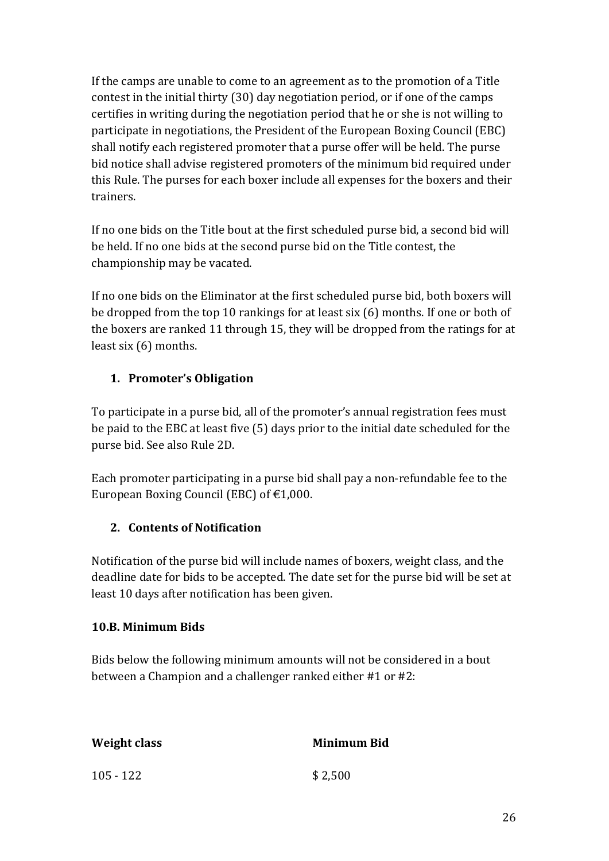If the camps are unable to come to an agreement as to the promotion of a Title contest in the initial thirty  $(30)$  day negotiation period, or if one of the camps certifies in writing during the negotiation period that he or she is not willing to participate in negotiations, the President of the European Boxing Council (EBC) shall notify each registered promoter that a purse offer will be held. The purse bid notice shall advise registered promoters of the minimum bid required under this Rule. The purses for each boxer include all expenses for the boxers and their trainers. 

If no one bids on the Title bout at the first scheduled purse bid, a second bid will be held. If no one bids at the second purse bid on the Title contest, the championship may be vacated.

If no one bids on the Eliminator at the first scheduled purse bid, both boxers will be dropped from the top 10 rankings for at least six  $(6)$  months. If one or both of the boxers are ranked 11 through 15, they will be dropped from the ratings for at least  $\text{six}(6)$  months.

# 1. **Promoter's Obligation**

To participate in a purse bid, all of the promoter's annual registration fees must be paid to the EBC at least five (5) days prior to the initial date scheduled for the purse bid. See also Rule 2D.

Each promoter participating in a purse bid shall pay a non-refundable fee to the European Boxing Council (EBC) of  $\text{\textsterling}1,000$ .

# **2. Contents of Notification**

Notification of the purse bid will include names of boxers, weight class, and the deadline date for bids to be accepted. The date set for the purse bid will be set at least 10 days after notification has been given.

# **10.B. Minimum Bids**

Bids below the following minimum amounts will not be considered in a bout between a Champion and a challenger ranked either  $#1$  or  $#2$ :

| Weight class | <b>Minimum Bid</b> |
|--------------|--------------------|
| $105 - 122$  | \$2,500            |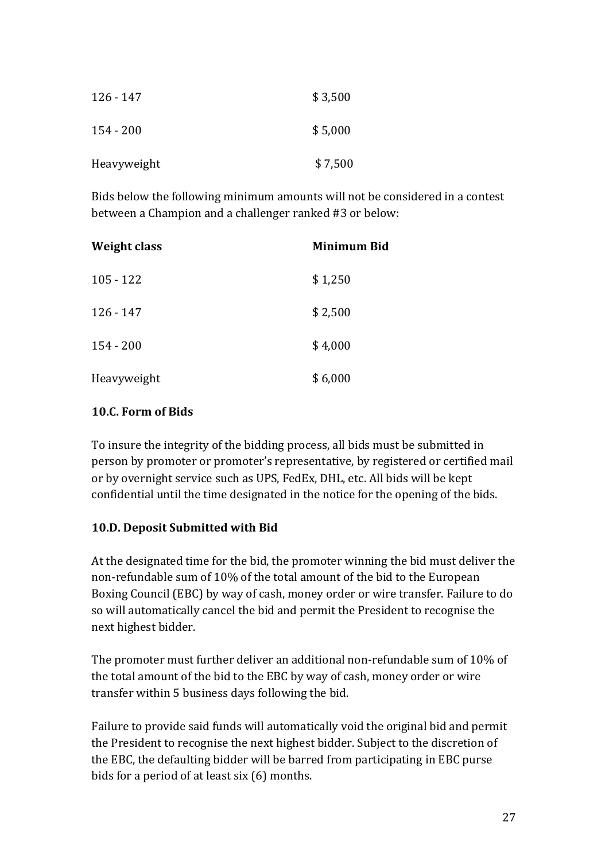| $126 - 147$ | \$3,500 |
|-------------|---------|
| $154 - 200$ | \$5,000 |
| Heavyweight | \$7,500 |

Bids below the following minimum amounts will not be considered in a contest between a Champion and a challenger ranked #3 or below:

| <b>Weight class</b> | Minimum Bid |
|---------------------|-------------|
| $105 - 122$         | \$1,250     |
| $126 - 147$         | \$2,500     |
| $154 - 200$         | \$4,000     |
| Heavyweight         | \$6,000     |

#### 10.C. Form of **Bids**

To insure the integrity of the bidding process, all bids must be submitted in person by promoter or promoter's representative, by registered or certified mail or by overnight service such as UPS, FedEx, DHL, etc. All bids will be kept confidential until the time designated in the notice for the opening of the bids.

#### **10.D. Deposit Submitted with Bid**

At the designated time for the bid, the promoter winning the bid must deliver the non-refundable sum of 10% of the total amount of the bid to the European Boxing Council (EBC) by way of cash, money order or wire transfer. Failure to do so will automatically cancel the bid and permit the President to recognise the next highest bidder.

The promoter must further deliver an additional non-refundable sum of 10% of the total amount of the bid to the EBC by way of cash, money order or wire transfer within 5 business days following the bid.

Failure to provide said funds will automatically void the original bid and permit the President to recognise the next highest bidder. Subject to the discretion of the EBC, the defaulting bidder will be barred from participating in EBC purse bids for a period of at least six (6) months.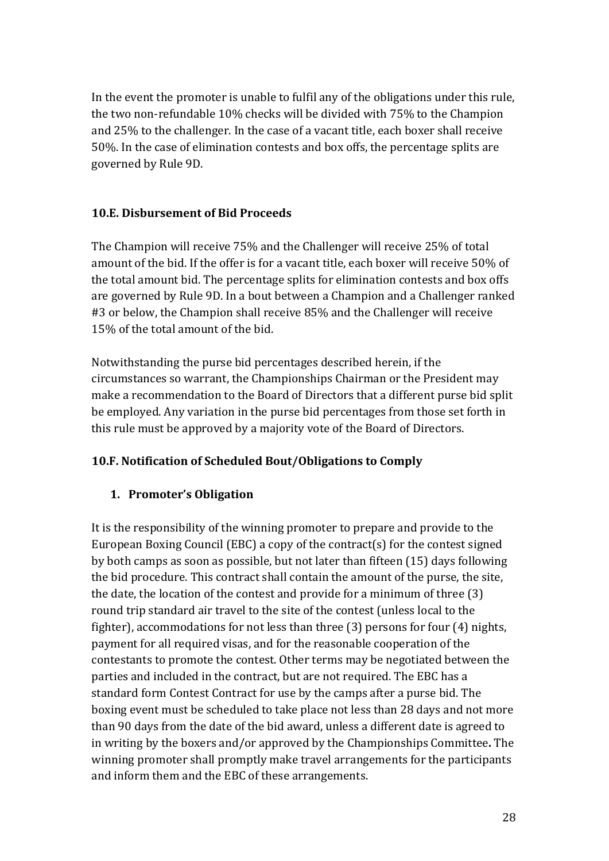In the event the promoter is unable to fulfil any of the obligations under this rule, the two non-refundable 10% checks will be divided with 75% to the Champion and 25% to the challenger. In the case of a vacant title, each boxer shall receive 50%. In the case of elimination contests and box offs, the percentage splits are governed by Rule 9D.

#### **10.E. Dishursement of Rid Proceeds**

The Champion will receive 75% and the Challenger will receive 25% of total amount of the bid. If the offer is for a vacant title, each boxer will receive 50% of the total amount bid. The percentage splits for elimination contests and box offs are governed by Rule 9D. In a bout between a Champion and a Challenger ranked #3 or below, the Champion shall receive 85% and the Challenger will receive 15% of the total amount of the bid.

Notwithstanding the purse bid percentages described herein, if the circumstances so warrant, the Championships Chairman or the President may make a recommendation to the Board of Directors that a different purse bid split be employed. Any variation in the purse bid percentages from those set forth in this rule must be approved by a majority vote of the Board of Directors.

#### **10.F. Notification of Scheduled Bout/Obligations to Comply**

# 1. Promoter's Obligation

It is the responsibility of the winning promoter to prepare and provide to the European Boxing Council (EBC) a copy of the contract(s) for the contest signed by both camps as soon as possible, but not later than fifteen (15) days following the bid procedure. This contract shall contain the amount of the purse, the site, the date, the location of the contest and provide for a minimum of three  $(3)$ round trip standard air travel to the site of the contest (unless local to the fighter), accommodations for not less than three  $(3)$  persons for four  $(4)$  nights, payment for all required visas, and for the reasonable cooperation of the contestants to promote the contest. Other terms may be negotiated between the parties and included in the contract, but are not required. The EBC has a standard form Contest Contract for use by the camps after a purse bid. The boxing event must be scheduled to take place not less than 28 days and not more than 90 days from the date of the bid award, unless a different date is agreed to in writing by the boxers and/or approved by the Championships Committee. The winning promoter shall promptly make travel arrangements for the participants and inform them and the EBC of these arrangements.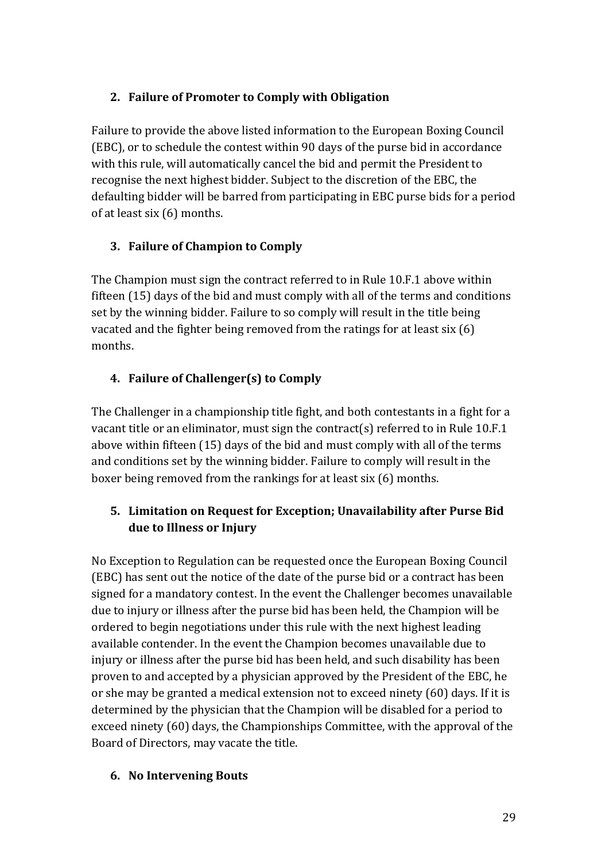## 2. Failure of Promoter to Comply with Obligation

Failure to provide the above listed information to the European Boxing Council (EBC), or to schedule the contest within 90 days of the purse bid in accordance with this rule, will automatically cancel the bid and permit the President to recognise the next highest bidder. Subject to the discretion of the EBC, the defaulting bidder will be barred from participating in EBC purse bids for a period of at least six  $(6)$  months.

# **3.** Failure of Champion to Comply

The Champion must sign the contract referred to in Rule 10.F.1 above within fifteen  $(15)$  days of the bid and must comply with all of the terms and conditions set by the winning bidder. Failure to so comply will result in the title being vacated and the fighter being removed from the ratings for at least  $\sin(6)$ months. 

# **4.** Failure of Challenger(s) to Comply

The Challenger in a championship title fight, and both contestants in a fight for a vacant title or an eliminator, must sign the contract(s) referred to in Rule 10.F.1 above within fifteen (15) days of the bid and must comply with all of the terms and conditions set by the winning bidder. Failure to comply will result in the boxer being removed from the rankings for at least six  $(6)$  months.

# **5. Limitation on Request for Exception; Unavailability after Purse Bid** due to Illness or Injury

No Exception to Regulation can be requested once the European Boxing Council (EBC) has sent out the notice of the date of the purse bid or a contract has been signed for a mandatory contest. In the event the Challenger becomes unavailable due to injury or illness after the purse bid has been held, the Champion will be ordered to begin negotiations under this rule with the next highest leading available contender. In the event the Champion becomes unavailable due to injury or illness after the purse bid has been held, and such disability has been proven to and accepted by a physician approved by the President of the EBC, he or she may be granted a medical extension not to exceed ninety (60) days. If it is determined by the physician that the Champion will be disabled for a period to exceed ninety (60) days, the Championships Committee, with the approval of the Board of Directors, may vacate the title.

#### **6. No Intervening Bouts**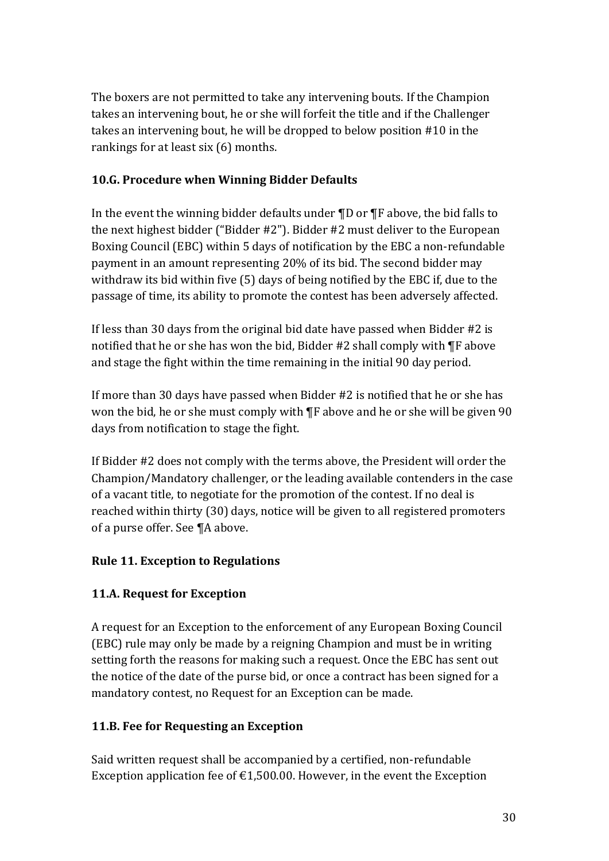The boxers are not permitted to take any intervening bouts. If the Champion takes an intervening bout, he or she will forfeit the title and if the Challenger takes an intervening bout, he will be dropped to below position  $#10$  in the rankings for at least  $\sin(6)$  months.

## **10.G. Procedure when Winning Bidder Defaults**

In the event the winning bidder defaults under  $\P D$  or  $\P F$  above, the bid falls to the next highest bidder ("Bidder  $#2$ "). Bidder  $#2$  must deliver to the European Boxing Council (EBC) within 5 days of notification by the EBC a non-refundable payment in an amount representing 20% of its bid. The second bidder may withdraw its bid within five  $(5)$  days of being notified by the EBC if, due to the passage of time, its ability to promote the contest has been adversely affected.

If less than 30 days from the original bid date have passed when Bidder  $#2$  is notified that he or she has won the bid, Bidder  $#2$  shall comply with  $\P$ F above and stage the fight within the time remaining in the initial 90 day period.

If more than 30 days have passed when Bidder  $#2$  is notified that he or she has won the bid, he or she must comply with  $\P$ F above and he or she will be given 90 days from notification to stage the fight.

If Bidder #2 does not comply with the terms above, the President will order the Champion/Mandatory challenger, or the leading available contenders in the case of a vacant title, to negotiate for the promotion of the contest. If no deal is reached within thirty (30) days, notice will be given to all registered promoters of a purse offer. See ¶A above.

# **Rule 11. Exception to Regulations**

# **11.A. Request for Exception**

A request for an Exception to the enforcement of any European Boxing Council (EBC) rule may only be made by a reigning Champion and must be in writing setting forth the reasons for making such a request. Once the EBC has sent out the notice of the date of the purse bid, or once a contract has been signed for a mandatory contest, no Request for an Exception can be made.

#### **11.B. Fee for Requesting an Exception**

Said written request shall be accompanied by a certified, non-refundable Exception application fee of  $\epsilon$ 1,500.00. However, in the event the Exception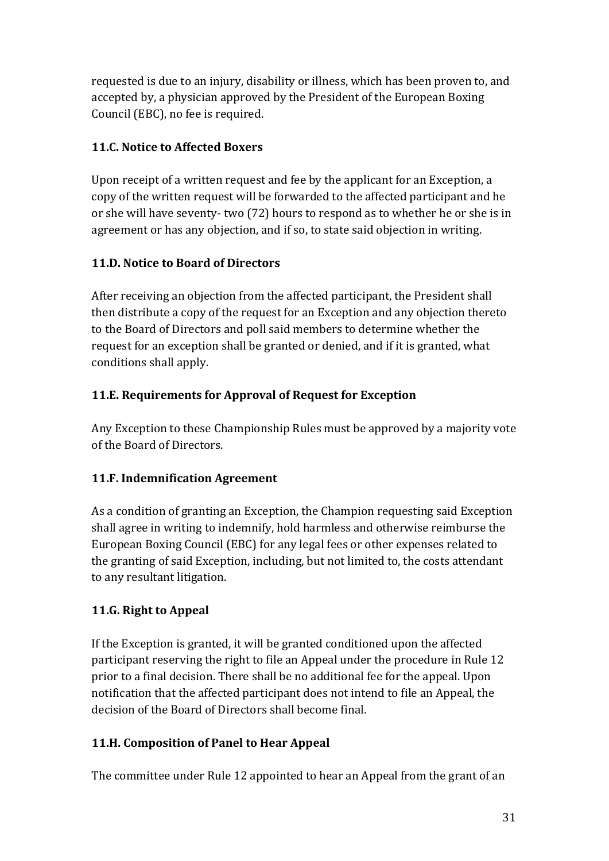requested is due to an injury, disability or illness, which has been proven to, and accepted by, a physician approved by the President of the European Boxing Council (EBC), no fee is required.

# **11.C.** Notice to Affected Boxers

Upon receipt of a written request and fee by the applicant for an Exception, a copy of the written request will be forwarded to the affected participant and he or she will have seventy- two (72) hours to respond as to whether he or she is in agreement or has any objection, and if so, to state said objection in writing.

# **11.D. Notice to Board of Directors**

After receiving an objection from the affected participant, the President shall then distribute a copy of the request for an Exception and any objection thereto to the Board of Directors and poll said members to determine whether the request for an exception shall be granted or denied, and if it is granted, what conditions shall apply.

# **11.E. Requirements for Approval of Request for Exception**

Any Exception to these Championship Rules must be approved by a majority vote of the Board of Directors.

# **11.F. Indemnification Agreement**

As a condition of granting an Exception, the Champion requesting said Exception shall agree in writing to indemnify, hold harmless and otherwise reimburse the European Boxing Council (EBC) for any legal fees or other expenses related to the granting of said Exception, including, but not limited to, the costs attendant to any resultant litigation.

# **11.G. Right to Appeal**

If the Exception is granted, it will be granted conditioned upon the affected participant reserving the right to file an Appeal under the procedure in Rule 12 prior to a final decision. There shall be no additional fee for the appeal. Upon notification that the affected participant does not intend to file an Appeal, the decision of the Board of Directors shall become final.

# **11.H. Composition of Panel to Hear Appeal**

The committee under Rule 12 appointed to hear an Appeal from the grant of an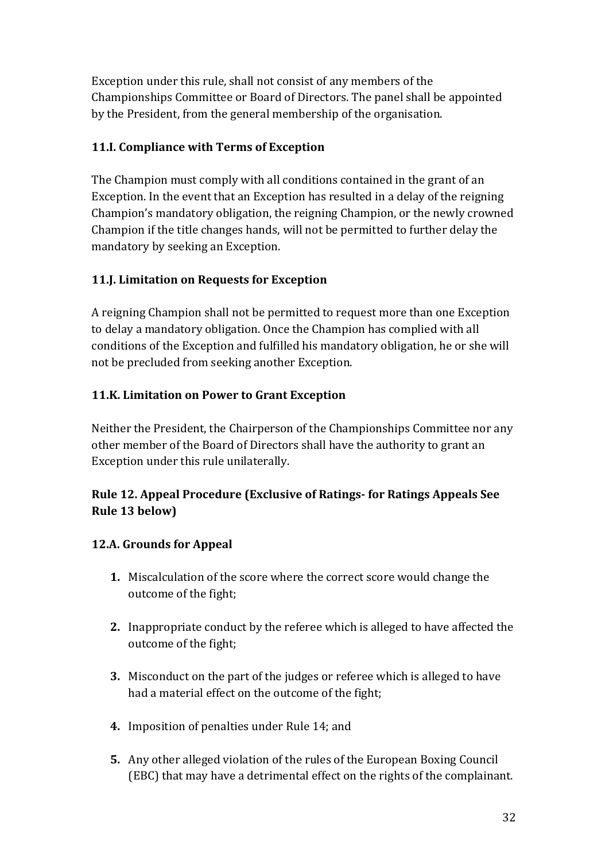Exception under this rule, shall not consist of any members of the Championships Committee or Board of Directors. The panel shall be appointed by the President, from the general membership of the organisation.

# **11.I. Compliance with Terms of Exception**

The Champion must comply with all conditions contained in the grant of an Exception. In the event that an Exception has resulted in a delay of the reigning Champion's mandatory obligation, the reigning Champion, or the newly crowned Champion if the title changes hands, will not be permitted to further delay the mandatory by seeking an Exception.

# **11.J. Limitation on Requests for Exception**

A reigning Champion shall not be permitted to request more than one Exception to delay a mandatory obligation. Once the Champion has complied with all conditions of the Exception and fulfilled his mandatory obligation, he or she will not be precluded from seeking another Exception.

# **11.K. Limitation on Power to Grant Exception**

Neither the President, the Chairperson of the Championships Committee nor any other member of the Board of Directors shall have the authority to grant an Exception under this rule unilaterally.

# **Rule 12. Appeal Procedure (Exclusive of Ratings-for Ratings Appeals See**) **Rule 13 below)**

# **12.A. Grounds for Appeal**

- **1.** Miscalculation of the score where the correct score would change the outcome of the fight;
- **2.** Inappropriate conduct by the referee which is alleged to have affected the outcome of the fight;
- **3.** Misconduct on the part of the judges or referee which is alleged to have had a material effect on the outcome of the fight;
- **4.** Imposition of penalties under Rule 14; and
- **5.** Any other alleged violation of the rules of the European Boxing Council (EBC) that may have a detrimental effect on the rights of the complainant.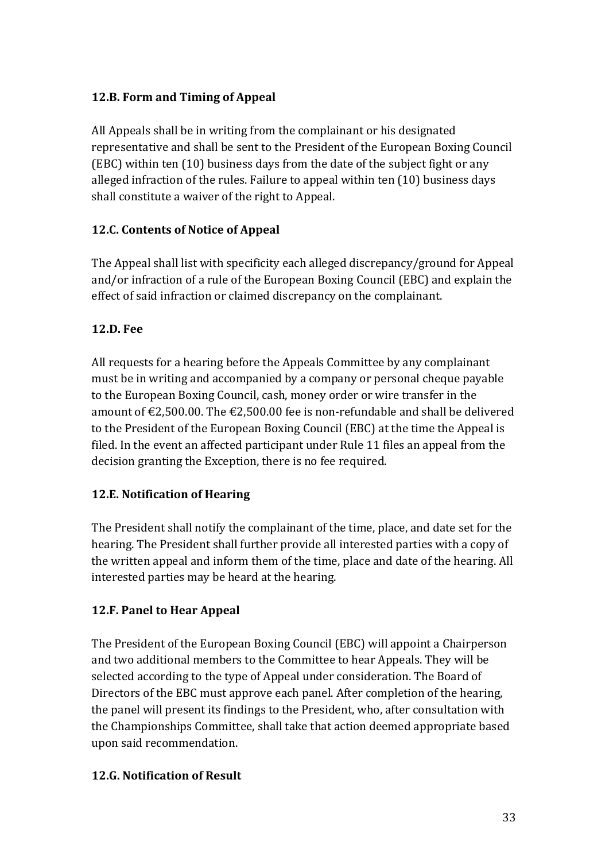## **12.B. Form and Timing of Appeal**

All Appeals shall be in writing from the complainant or his designated representative and shall be sent to the President of the European Boxing Council (EBC) within ten  $(10)$  business days from the date of the subject fight or any alleged infraction of the rules. Failure to appeal within ten  $(10)$  business days shall constitute a waiver of the right to Appeal.

# **12.C. Contents of Notice of Appeal**

The Appeal shall list with specificity each alleged discrepancy/ground for Appeal and/or infraction of a rule of the European Boxing Council (EBC) and explain the effect of said infraction or claimed discrepancy on the complainant.

## **12.D. Fee**

All requests for a hearing before the Appeals Committee by any complainant must be in writing and accompanied by a company or personal cheque payable to the European Boxing Council, cash, money order or wire transfer in the amount of  $\text{\textsterling}2,500.00$ . The  $\text{\textsterling}2,500.00$  fee is non-refundable and shall be delivered to the President of the European Boxing Council (EBC) at the time the Appeal is filed. In the event an affected participant under Rule 11 files an appeal from the decision granting the Exception, there is no fee required.

# **12.E. Notification of Hearing**

The President shall notify the complainant of the time, place, and date set for the hearing. The President shall further provide all interested parties with a copy of the written appeal and inform them of the time, place and date of the hearing. All interested parties may be heard at the hearing.

# **12.F. Panel to Hear Appeal**

The President of the European Boxing Council (EBC) will appoint a Chairperson and two additional members to the Committee to hear Appeals. They will be selected according to the type of Appeal under consideration. The Board of Directors of the EBC must approve each panel. After completion of the hearing, the panel will present its findings to the President, who, after consultation with the Championships Committee, shall take that action deemed appropriate based upon said recommendation.

#### **12.G. Notification of Result**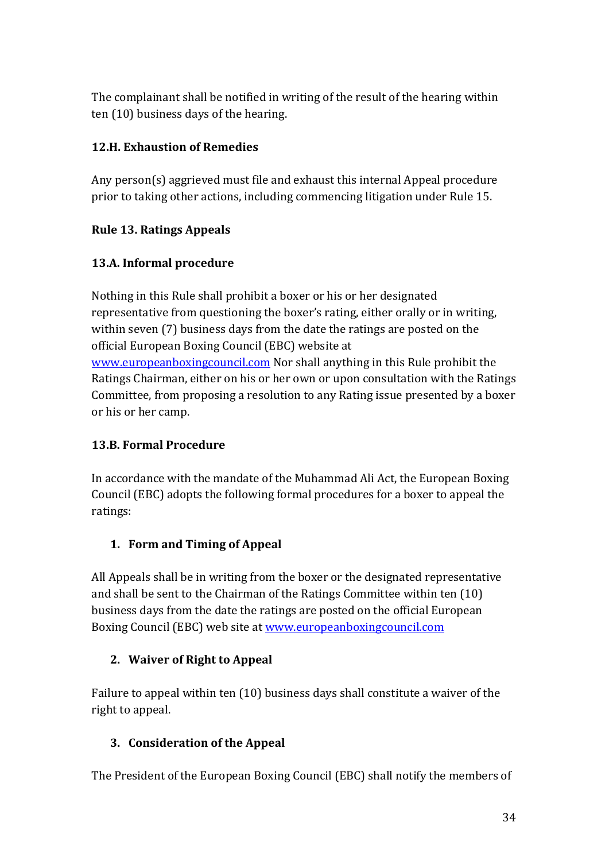The complainant shall be notified in writing of the result of the hearing within ten (10) business days of the hearing.

# **12.H. Exhaustion of Remedies**

Any person(s) aggrieved must file and exhaust this internal Appeal procedure prior to taking other actions, including commencing litigation under Rule 15.

# **Rule 13. Ratings Appeals**

# **13.A. Informal procedure**

Nothing in this Rule shall prohibit a boxer or his or her designated representative from questioning the boxer's rating, either orally or in writing, within seven (7) business days from the date the ratings are posted on the official European Boxing Council (EBC) website at www.europeanboxingcouncil.com Nor shall anything in this Rule prohibit the Ratings Chairman, either on his or her own or upon consultation with the Ratings Committee, from proposing a resolution to any Rating issue presented by a boxer or his or her camp.

# **13.B. Formal Procedure**

In accordance with the mandate of the Muhammad Ali Act, the European Boxing Council (EBC) adopts the following formal procedures for a boxer to appeal the ratings:

# **1. Form and Timing of Appeal**

All Appeals shall be in writing from the boxer or the designated representative and shall be sent to the Chairman of the Ratings Committee within ten  $(10)$ business days from the date the ratings are posted on the official European Boxing Council (EBC) web site at www.europeanboxingcouncil.com

# **2.** Waiver of Right to Appeal

Failure to appeal within ten  $(10)$  business days shall constitute a waiver of the right to appeal.

# **3. Consideration of the Appeal**

The President of the European Boxing Council (EBC) shall notify the members of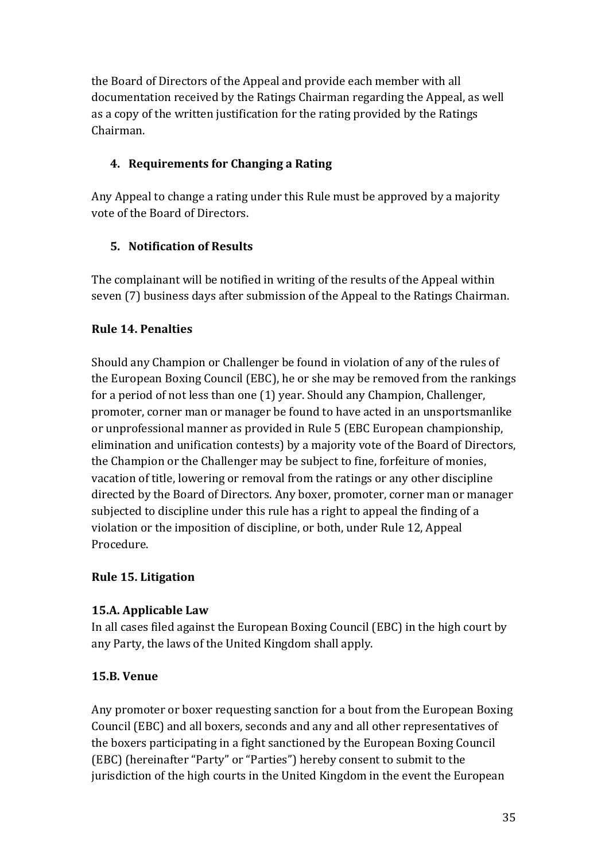the Board of Directors of the Appeal and provide each member with all documentation received by the Ratings Chairman regarding the Appeal, as well as a copy of the written justification for the rating provided by the Ratings Chairman. 

# **4.** Requirements for Changing a Rating

Any Appeal to change a rating under this Rule must be approved by a majority vote of the Board of Directors.

## **5.** Notification of Results

The complainant will be notified in writing of the results of the Appeal within seven (7) business days after submission of the Appeal to the Ratings Chairman.

## **Rule 14. Penalties**

Should any Champion or Challenger be found in violation of any of the rules of the European Boxing Council (EBC), he or she may be removed from the rankings for a period of not less than one (1) year. Should any Champion, Challenger, promoter, corner man or manager be found to have acted in an unsportsmanlike or unprofessional manner as provided in Rule 5 (EBC European championship, elimination and unification contests) by a majority vote of the Board of Directors, the Champion or the Challenger may be subject to fine, forfeiture of monies, vacation of title, lowering or removal from the ratings or any other discipline directed by the Board of Directors. Any boxer, promoter, corner man or manager subjected to discipline under this rule has a right to appeal the finding of a violation or the imposition of discipline, or both, under Rule 12, Appeal Procedure.

#### **Rule 15. Litigation**

#### **15.A. Applicable Law**

In all cases filed against the European Boxing Council (EBC) in the high court by any Party, the laws of the United Kingdom shall apply.

#### **15.B. Venue**

Any promoter or boxer requesting sanction for a bout from the European Boxing Council (EBC) and all boxers, seconds and any and all other representatives of the boxers participating in a fight sanctioned by the European Boxing Council (EBC) (hereinafter "Party" or "Parties") hereby consent to submit to the jurisdiction of the high courts in the United Kingdom in the event the European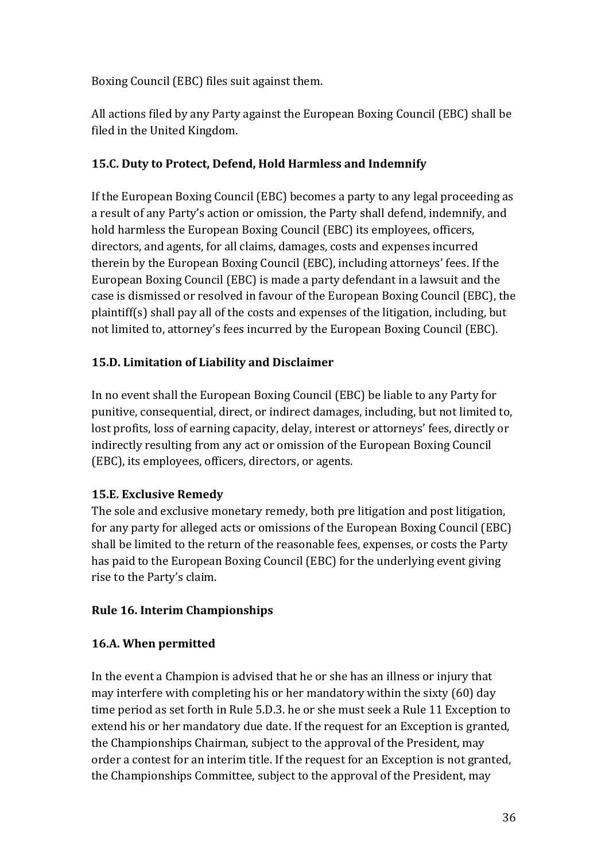Boxing Council (EBC) files suit against them.

All actions filed by any Party against the European Boxing Council (EBC) shall be filed in the United Kingdom.

# **15.C. Duty to Protect, Defend, Hold Harmless and Indemnify**

If the European Boxing Council (EBC) becomes a party to any legal proceeding as a result of any Party's action or omission, the Party shall defend, indemnify, and hold harmless the European Boxing Council (EBC) its employees, officers, directors, and agents, for all claims, damages, costs and expenses incurred therein by the European Boxing Council (EBC), including attorneys' fees. If the European Boxing Council (EBC) is made a party defendant in a lawsuit and the case is dismissed or resolved in favour of the European Boxing Council (EBC), the plaintiff(s) shall pay all of the costs and expenses of the litigation, including, but not limited to, attorney's fees incurred by the European Boxing Council (EBC).

# **15.D. Limitation of Liability and Disclaimer**

In no event shall the European Boxing Council (EBC) be liable to any Party for punitive, consequential, direct, or indirect damages, including, but not limited to, lost profits, loss of earning capacity, delay, interest or attorneys' fees, directly or indirectly resulting from any act or omission of the European Boxing Council (EBC), its employees, officers, directors, or agents.

# **15.E. Exclusive Remedy**

The sole and exclusive monetary remedy, both pre litigation and post litigation, for any party for alleged acts or omissions of the European Boxing Council (EBC) shall be limited to the return of the reasonable fees, expenses, or costs the Party has paid to the European Boxing Council (EBC) for the underlying event giving rise to the Party's claim.

# **Rule 16. Interim Championships**

# **16.A. When permitted**

In the event a Champion is advised that he or she has an illness or injury that may interfere with completing his or her mandatory within the sixty  $(60)$  day time period as set forth in Rule 5.D.3. he or she must seek a Rule 11 Exception to extend his or her mandatory due date. If the request for an Exception is granted, the Championships Chairman, subject to the approval of the President, may order a contest for an interim title. If the request for an Exception is not granted, the Championships Committee, subject to the approval of the President, may